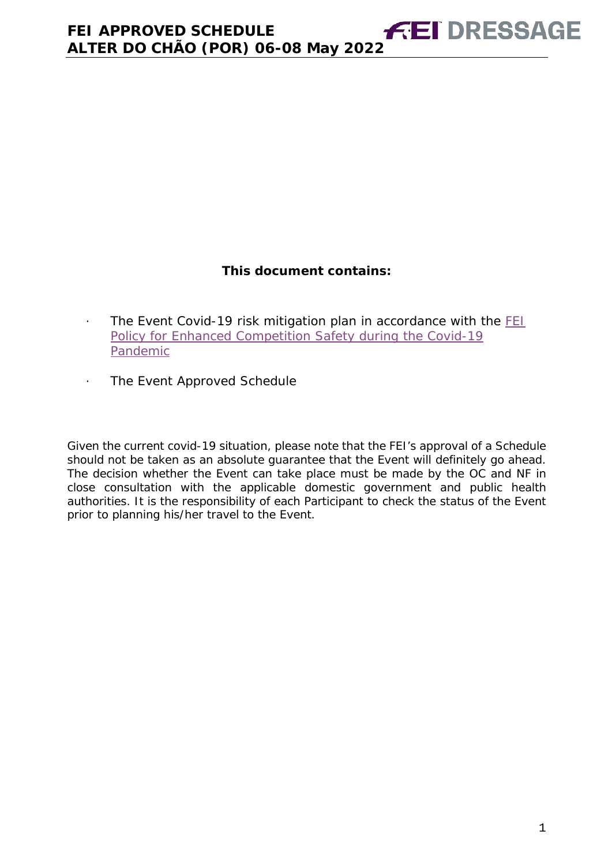# **This document contains:**

- <span id="page-0-0"></span>· The Event Covid-19 risk mitigation plan in accordance with the [FEI](https://inside.fei.org/fei/covid-19/return-to-play)  [Policy for Enhanced Competition Safety during the Covid-19](https://inside.fei.org/fei/covid-19/return-to-play)  [Pandemic](https://inside.fei.org/fei/covid-19/return-to-play)
- · The Event Approved Schedule

*Given the current covid-19 situation, please note that the FEI's approval of a Schedule should not be taken as an absolute guarantee that the Event will definitely go ahead. The decision whether the Event can take place must be made by the OC and NF in close consultation with the applicable domestic government and public health authorities. It is the responsibility of each Participant to check the status of the Event prior to planning his/her travel to the Event.*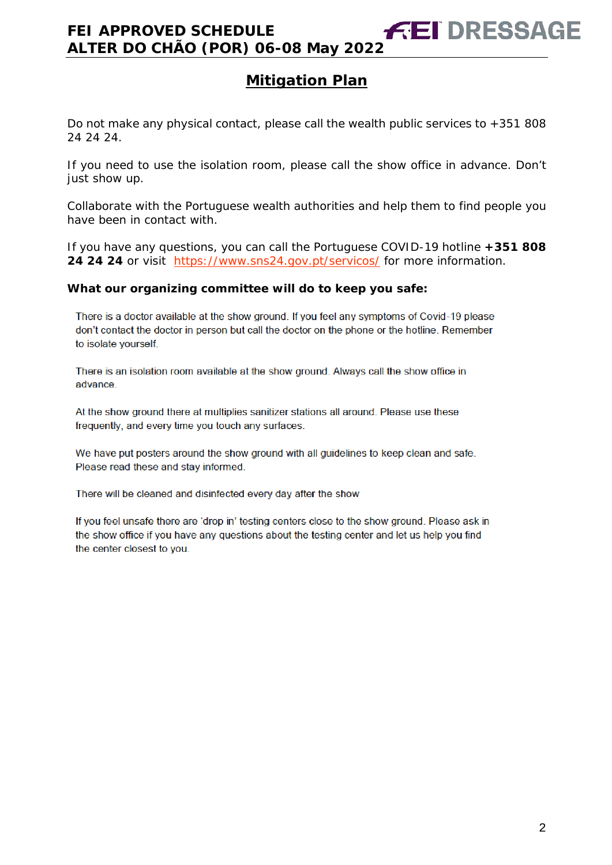Do not make any physical contact, please call the wealth public services to +351 808 24 24 24.

If you need to use the isolation room, please call the show office in advance. Don't just show up.

Collaborate with the Portuguese wealth authorities and help them to find people you have been in contact with.

If you have any questions, you can call the Portuguese COVID-19 hotline **+351 808**  24 24 24 or visit <https://www.sns24.gov.pt/servicos/> for more information.

#### **What our organizing committee will do to keep you safe:**

There is a doctor available at the show ground. If you feel any symptoms of Covid-19 please don't contact the doctor in person but call the doctor on the phone or the hotline. Remember to isolate yourself.

There is an isolation room available at the show ground. Always call the show office in advance.

At the show ground there at multiplies sanitizer stations all around. Please use these frequently, and every time you touch any surfaces.

We have put posters around the show ground with all guidelines to keep clean and safe. Please read these and stay informed.

There will be cleaned and disinfected every day after the show

If you feel unsafe there are 'drop in' testing centers close to the show ground. Please ask in the show office if you have any questions about the testing center and let us help you find the center closest to you.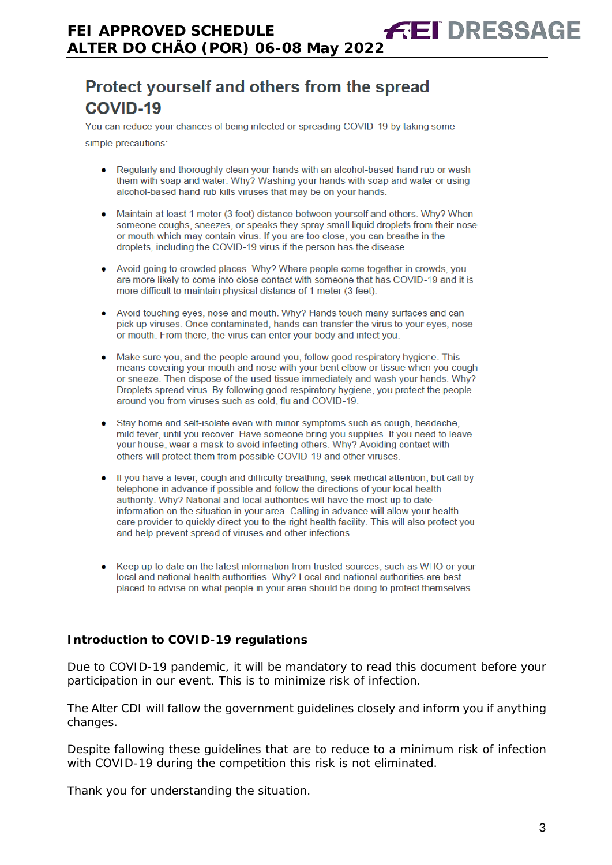# Protect yourself and others from the spread **COVID-19**

You can reduce your chances of being infected or spreading COVID-19 by taking some

simple precautions:

- Regularly and thoroughly clean your hands with an alcohol-based hand rub or wash them with soap and water. Why? Washing your hands with soap and water or using alcohol-based hand rub kills viruses that may be on your hands.
- Maintain at least 1 meter (3 feet) distance between yourself and others. Why? When someone coughs, sneezes, or speaks they spray small liquid droplets from their nose or mouth which may contain virus. If you are too close, you can breathe in the droplets, including the COVID-19 virus if the person has the disease.
- Avoid going to crowded places. Why? Where people come together in crowds, you are more likely to come into close contact with someone that has COVID-19 and it is more difficult to maintain physical distance of 1 meter (3 feet).
- Avoid touching eyes, nose and mouth. Why? Hands touch many surfaces and can pick up viruses. Once contaminated, hands can transfer the virus to your eyes, nose or mouth. From there, the virus can enter your body and infect you.
- Make sure you, and the people around you, follow good respiratory hygiene. This means covering your mouth and nose with your bent elbow or tissue when you cough or sneeze. Then dispose of the used tissue immediately and wash your hands. Why? Droplets spread virus. By following good respiratory hygiene, you protect the people around you from viruses such as cold, flu and COVID-19.
- Stay home and self-isolate even with minor symptoms such as cough, headache, mild fever, until you recover. Have someone bring you supplies. If you need to leave your house, wear a mask to avoid infecting others. Why? Avoiding contact with others will protect them from possible COVID-19 and other viruses.
- If you have a fever, cough and difficulty breathing, seek medical attention, but call by telephone in advance if possible and follow the directions of your local health authority. Why? National and local authorities will have the most up to date information on the situation in your area. Calling in advance will allow your health care provider to quickly direct you to the right health facility. This will also protect you and help prevent spread of viruses and other infections.
- Keep up to date on the latest information from trusted sources, such as WHO or your local and national health authorities. Why? Local and national authorities are best placed to advise on what people in your area should be doing to protect themselves.

#### **Introduction to COVID-19 regulations**

Due to COVID-19 pandemic, it will be mandatory to read this document before your participation in our event. This is to minimize risk of infection.

The Alter CDI will fallow the government guidelines closely and inform you if anything changes.

Despite fallowing these guidelines that are to reduce to a minimum risk of infection with COVID-19 during the competition this risk is not eliminated.

Thank you for understanding the situation.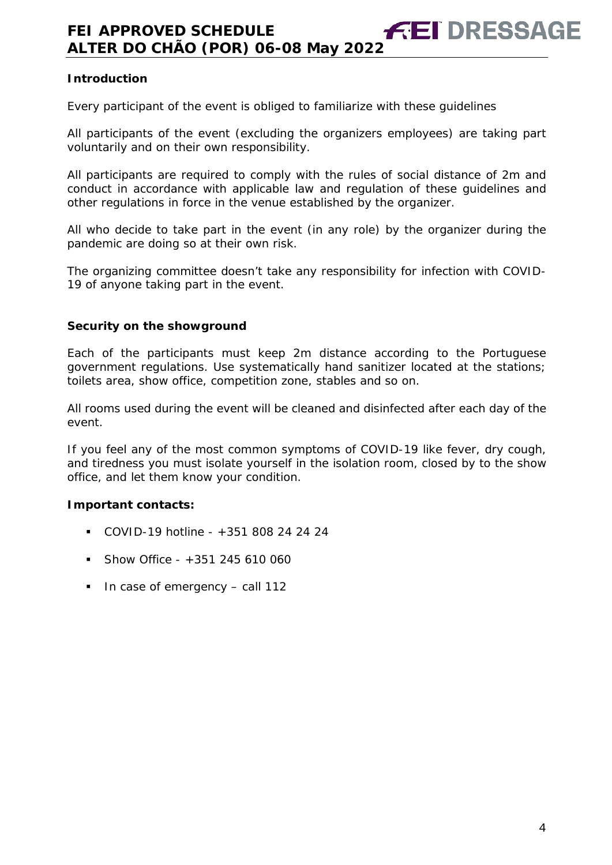#### **Introduction**

Every participant of the event is obliged to familiarize with these guidelines

All participants of the event (excluding the organizers employees) are taking part voluntarily and on their own responsibility.

All participants are required to comply with the rules of social distance of 2m and conduct in accordance with applicable law and regulation of these guidelines and other regulations in force in the venue established by the organizer.

All who decide to take part in the event (in any role) by the organizer during the pandemic are doing so at their own risk.

The organizing committee doesn't take any responsibility for infection with COVID-19 of anyone taking part in the event.

#### **Security on the showground**

Each of the participants must keep 2m distance according to the Portuguese government regulations. Use systematically hand sanitizer located at the stations; toilets area, show office, competition zone, stables and so on.

All rooms used during the event will be cleaned and disinfected after each day of the event.

If you feel any of the most common symptoms of COVID-19 like fever, dry cough, and tiredness you must isolate yourself in the isolation room, closed by to the show office, and let them know your condition.

#### **Important contacts:**

- COVID-19 hotline +351 808 24 24 24
- $\blacksquare$  Show Office +351 245 610 060
- $\blacksquare$  In case of emergency call 112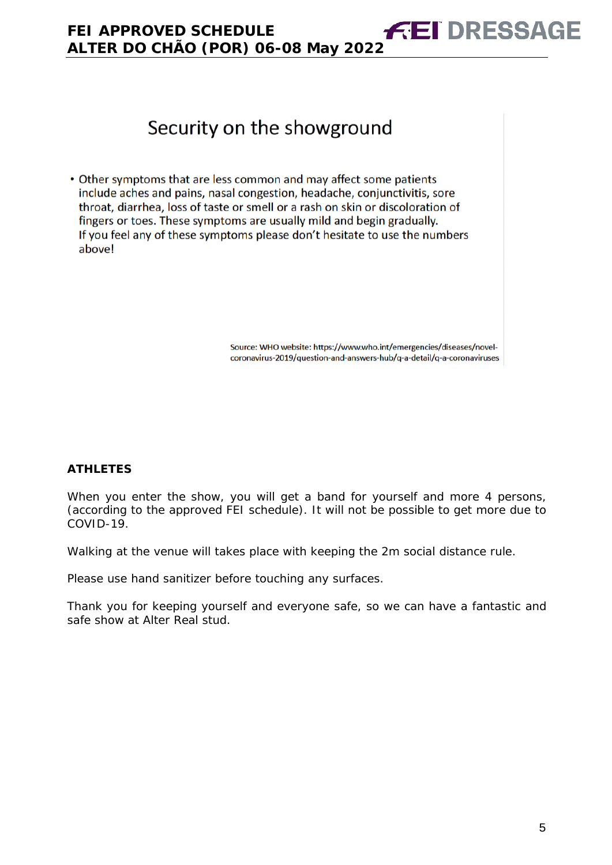

Source: WHO website: https://www.who.int/emergencies/diseases/novelcoronavirus-2019/question-and-answers-hub/q-a-detail/q-a-coronaviruses

**FEI DRESSAGE** 

#### **ATHLETES**

When you enter the show, you will get a band for yourself and more 4 persons, (according to the approved FEI schedule). It will not be possible to get more due to COVID-19.

Walking at the venue will takes place with keeping the 2m social distance rule.

Please use hand sanitizer before touching any surfaces.

*Thank you for keeping yourself and everyone safe, so we can have a fantastic and safe show at Alter Real stud.*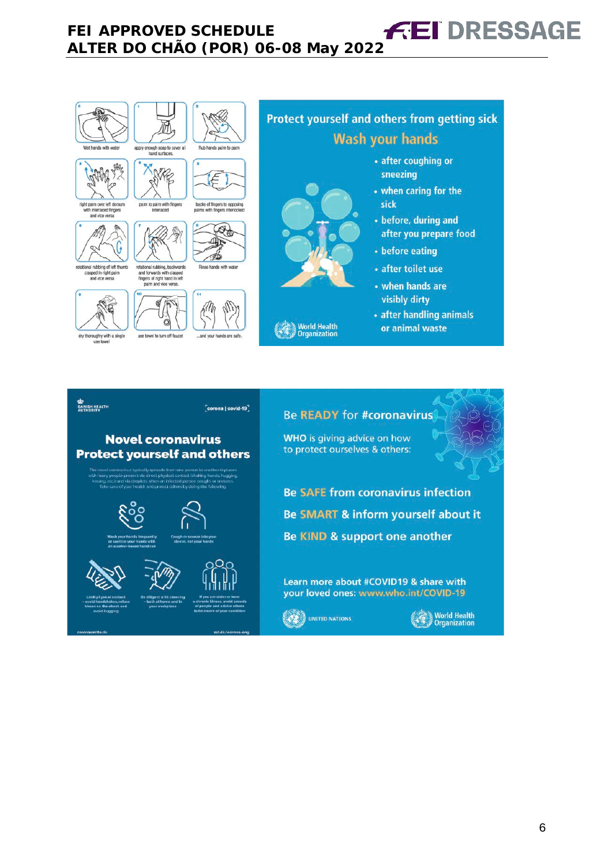

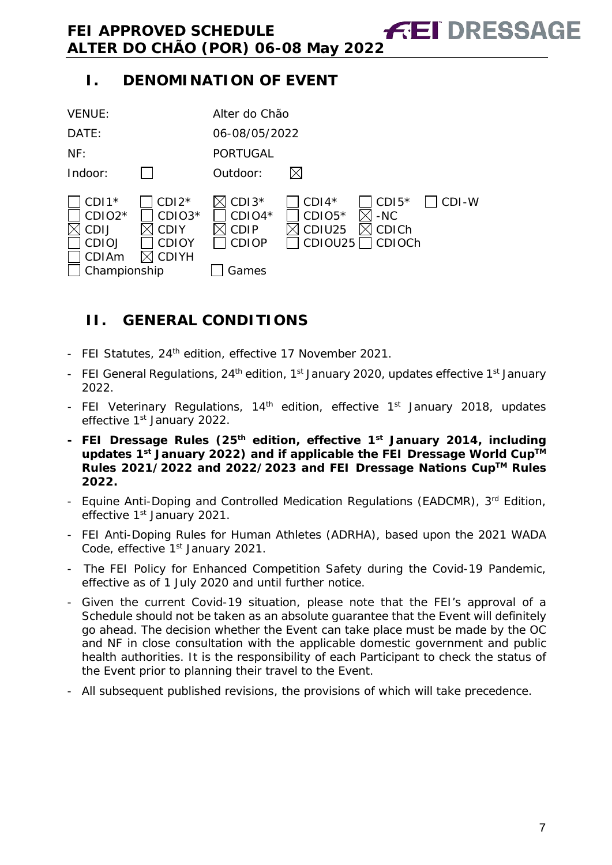# **I. DENOMINATION OF EVENT**



# <span id="page-6-0"></span>**II. GENERAL CONDITIONS**

- FEI Statutes, 24<sup>th</sup> edition, effective 17 November 2021.
- FEI General Regulations, 24<sup>th</sup> edition, 1<sup>st</sup> January 2020, updates effective 1<sup>st</sup> January 2022.
- FEI Veterinary Regulations, 14<sup>th</sup> edition, effective 1<sup>st</sup> January 2018, updates effective 1<sup>st</sup> January 2022.
- **- FEI Dressage Rules (25th edition, effective 1st January 2014, including updates 1st January 2022) and if applicable the FEI Dressage World CupTM Rules 2021/2022 and 2022/2023 and FEI Dressage Nations CupTM Rules 2022.**
- Equine Anti-Doping and Controlled Medication Regulations (EADCMR), 3rd Edition, effective 1<sup>st</sup> January 2021.
- FEI Anti-Doping Rules for Human Athletes (ADRHA), based upon the 2021 WADA Code, effective 1<sup>st</sup> January 2021.
- The FEI Policy for Enhanced Competition Safety during the Covid-19 Pandemic, effective as of 1 July 2020 and until further notice.
- Given the current Covid-19 situation, please note that the FEI's approval of a Schedule should not be taken as an absolute guarantee that the Event will definitely go ahead. The decision whether the Event can take place must be made by the OC and NF in close consultation with the applicable domestic government and public health authorities. It is the responsibility of each Participant to check the status of the Event prior to planning their travel to the Event.
- All subsequent published revisions, the provisions of which will take precedence.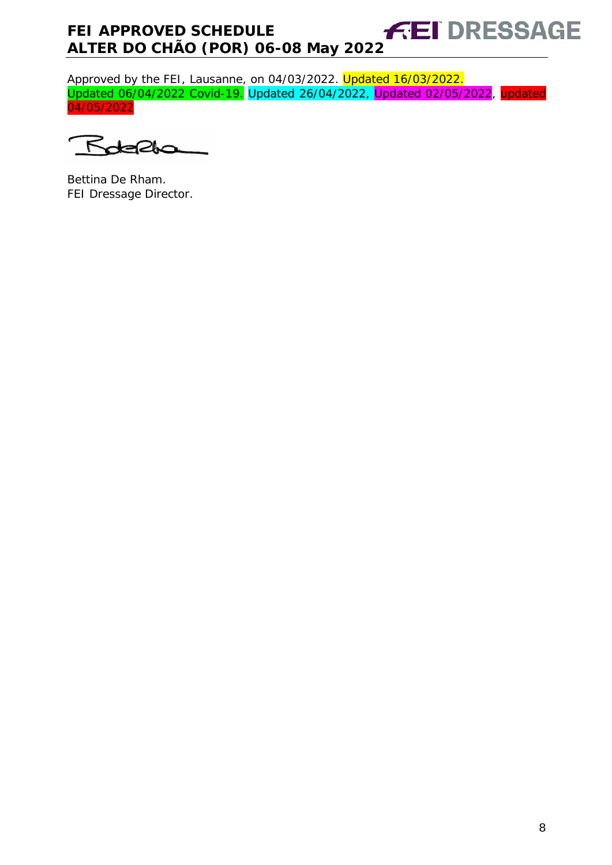Approved by the FEI, Lausanne, on 04/03/2022. <mark>Updated 16/03/2022.</mark> Updated 06/04/2022 Covid-19. Updated 26/04/2022, Updated 02/05/2022, updated 04/05/2022

 $\sqrt{5}$ 210

Bettina De Rham. FEI Dressage Director.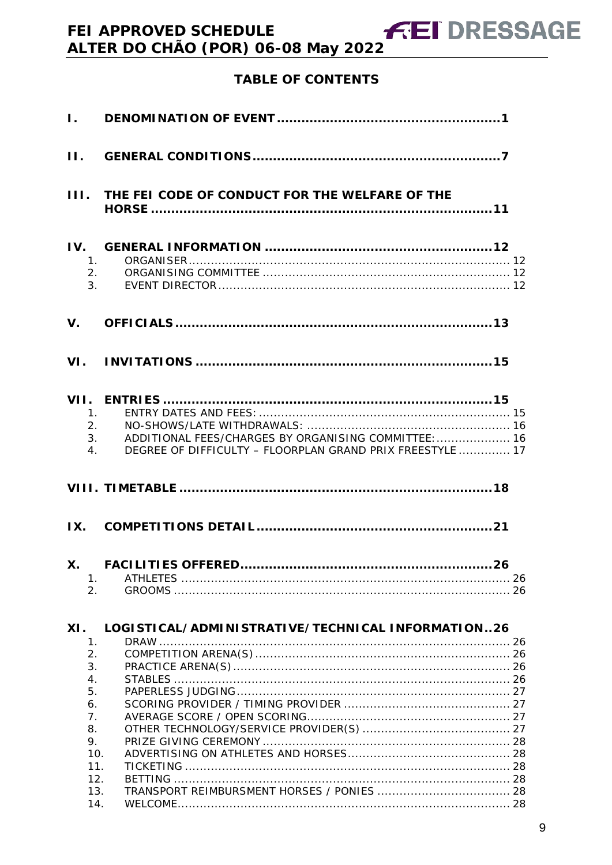# **TABLE OF CONTENTS**

**FEI DRESSAGE** 

| $\mathbf{L}$                             |                                                                                                                         |  |
|------------------------------------------|-------------------------------------------------------------------------------------------------------------------------|--|
| $\Pi$ .                                  |                                                                                                                         |  |
| III.                                     | THE FEI CODE OF CONDUCT FOR THE WELFARE OF THE                                                                          |  |
| IV.<br>1.<br>2.<br>3 <sub>1</sub>        |                                                                                                                         |  |
| $V_{\cdot}$                              |                                                                                                                         |  |
|                                          |                                                                                                                         |  |
| 1 <sub>1</sub><br>2.<br>$\overline{4}$ . | ADDITIONAL FEES/CHARGES BY ORGANISING COMMITTEE:  16<br>3.<br>DEGREE OF DIFFICULTY - FLOORPLAN GRAND PRIX FREESTYLE  17 |  |
|                                          |                                                                                                                         |  |
| IX.                                      |                                                                                                                         |  |
| X.<br>1.<br>2.                           |                                                                                                                         |  |
|                                          |                                                                                                                         |  |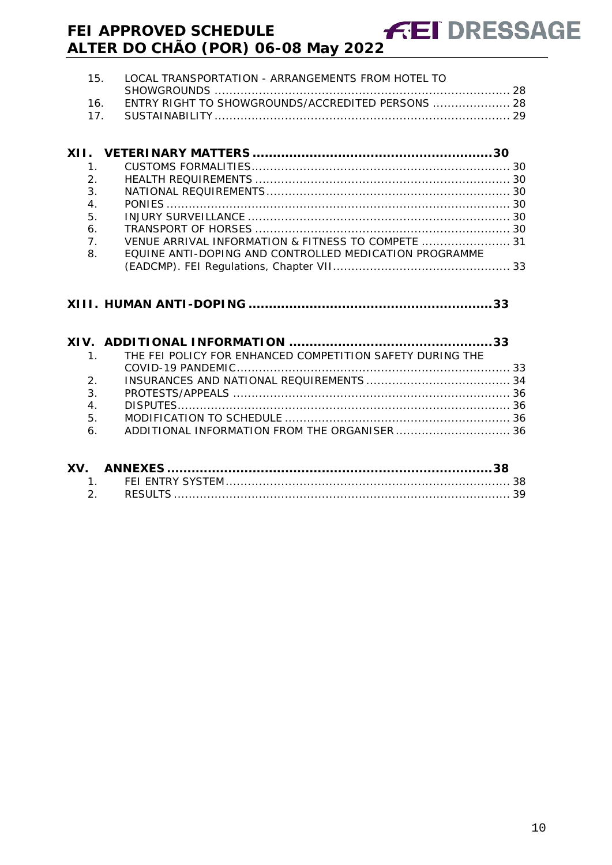| 15. LOCAL TRANSPORTATION - ARRANGEMENTS FROM HOTEL TO |  |
|-------------------------------------------------------|--|
|                                                       |  |
| 16. ENTRY RIGHT TO SHOWGROUNDS/ACCREDITED PERSONS  28 |  |
| _17.   SUSTAINABILITY ………………………………………………………………………… 29 |  |

| $\mathbf{1}$   |                                                        |  |
|----------------|--------------------------------------------------------|--|
| 2.             |                                                        |  |
| $\mathcal{E}$  |                                                        |  |
| 4.             |                                                        |  |
| 5.             |                                                        |  |
| 6.             |                                                        |  |
| $\overline{7}$ | VENUE ARRIVAL INFORMATION & FITNESS TO COMPETE  31     |  |
| 8.             | EQUINE ANTI-DOPING AND CONTROLLED MEDICATION PROGRAMME |  |
|                |                                                        |  |
|                |                                                        |  |

## **XIII. HUMAN ANTI-DOPING [............................................................33](#page-32-1)**

|                  | 1. THE FEI POLICY FOR ENHANCED COMPETITION SAFETY DURING THE |  |
|------------------|--------------------------------------------------------------|--|
|                  |                                                              |  |
|                  | $2^{2}$                                                      |  |
| 3.               |                                                              |  |
| $\overline{4}$ . |                                                              |  |
| 5.               |                                                              |  |
|                  |                                                              |  |
|                  |                                                              |  |
|                  |                                                              |  |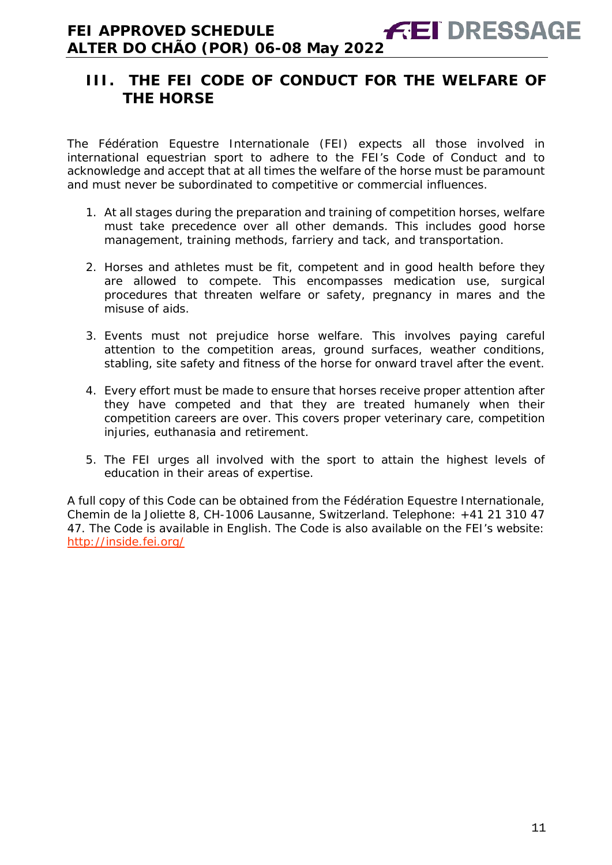# <span id="page-10-0"></span>**III. THE FEI CODE OF CONDUCT FOR THE WELFARE OF THE HORSE**

The Fédération Equestre Internationale (FEI) expects all those involved in international equestrian sport to adhere to the FEI's Code of Conduct and to acknowledge and accept that at all times the welfare of the horse must be paramount and must never be subordinated to competitive or commercial influences.

- 1. At all stages during the preparation and training of competition horses, welfare must take precedence over all other demands. This includes good horse management, training methods, farriery and tack, and transportation.
- 2. Horses and athletes must be fit, competent and in good health before they are allowed to compete. This encompasses medication use, surgical procedures that threaten welfare or safety, pregnancy in mares and the misuse of aids.
- 3. Events must not prejudice horse welfare. This involves paying careful attention to the competition areas, ground surfaces, weather conditions, stabling, site safety and fitness of the horse for onward travel after the event.
- 4. Every effort must be made to ensure that horses receive proper attention after they have competed and that they are treated humanely when their competition careers are over. This covers proper veterinary care, competition injuries, euthanasia and retirement.
- 5. The FEI urges all involved with the sport to attain the highest levels of education in their areas of expertise.

A full copy of this Code can be obtained from the Fédération Equestre Internationale, Chemin de la Joliette 8, CH-1006 Lausanne, Switzerland. Telephone: +41 21 310 47 47. The Code is available in English. The Code is also available on the FEI's website: <http://inside.fei.org/>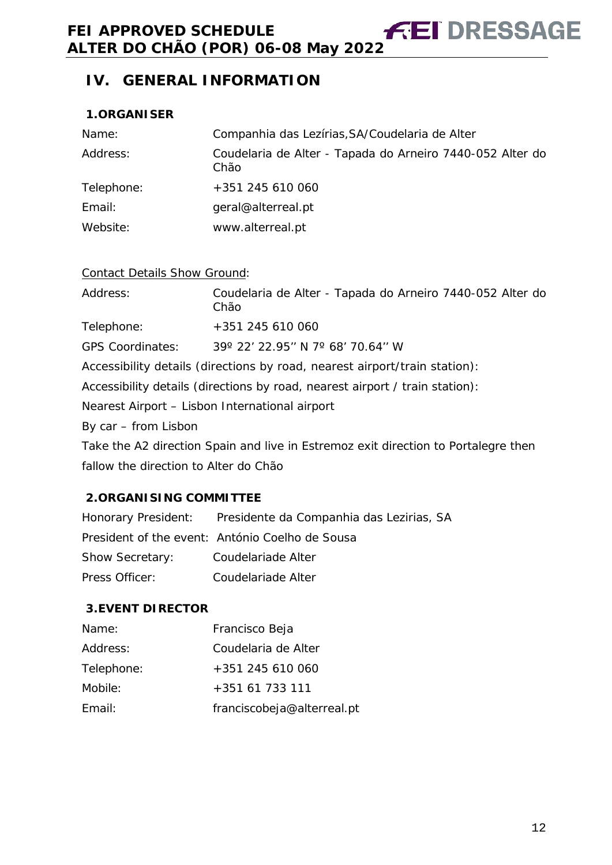# <span id="page-11-0"></span>**IV. GENERAL INFORMATION**

#### <span id="page-11-1"></span>**1.ORGANISER**

| Name:      | Companhia das Lezírias, SA/Coudelaria de Alter                    |
|------------|-------------------------------------------------------------------|
| Address:   | Coudelaria de Alter - Tapada do Arneiro 7440-052 Alter do<br>Chão |
| Telephone: | +351 245 610 060                                                  |
| Email:     | geral@alterreal.pt                                                |
| Website:   | www.alterreal.pt                                                  |

#### Contact Details Show Ground:

| Address:                                       | Coudelaria de Alter - Tapada do Arneiro 7440-052 Alter do<br>Chão                  |
|------------------------------------------------|------------------------------------------------------------------------------------|
| Telephone:                                     | +351 245 610 060                                                                   |
| <b>GPS Coordinates:</b>                        | 39° 22′ 22.95″ N 7° 68′ 70.64″ W                                                   |
|                                                | Accessibility details (directions by road, nearest airport/train station):         |
|                                                | Accessibility details (directions by road, nearest airport / train station):       |
| Nearest Airport - Lisbon International airport |                                                                                    |
| By car – from Lisbon                           |                                                                                    |
|                                                | Take the A2 direction Spain and live in Estremoz exit direction to Portalegre then |
| fallow the direction to Alter do Chão          |                                                                                    |

#### <span id="page-11-2"></span>**2.ORGANISING COMMITTEE**

Honorary President: Presidente da Companhia das Lezirias, SA President of the event: António Coelho de Sousa Show Secretary: Coudelariade Alter Press Officer: Coudelariade Alter

#### <span id="page-11-3"></span>**3.EVENT DIRECTOR**

| Name:      | Francisco Beja             |
|------------|----------------------------|
| Address:   | Coudelaria de Alter        |
| Telephone: | $+351$ 245 610 060         |
| Mobile:    | +351 61 733 111            |
| Fmail:     | franciscobeja@alterreal.pt |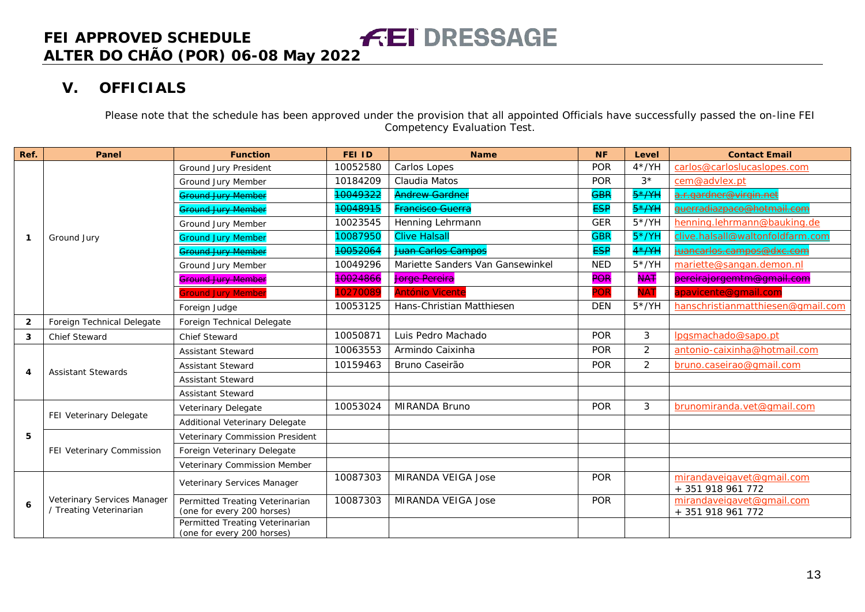# **V. OFFICIALS**

Please note that the schedule has been approved under the provision that all appointed Officials have successfully passed the on-line FEI Competency Evaluation Test.

<span id="page-12-0"></span>

| Ref.           | Panel                                                  | <b>Function</b>                                               | <b>FEI ID</b> | <b>Name</b>                      | <b>NF</b>  | Level          | <b>Contact Email</b>                           |
|----------------|--------------------------------------------------------|---------------------------------------------------------------|---------------|----------------------------------|------------|----------------|------------------------------------------------|
|                |                                                        | Ground Jury President                                         | 10052580      | Carlos Lopes                     | <b>POR</b> | $4*/YH$        | carlos@carloslucaslopes.com                    |
|                |                                                        | Ground Jury Member                                            | 10184209      | Claudia Matos                    | <b>POR</b> | $3*$           | cem@advlex.pt                                  |
|                |                                                        | <b>Ground Jury Member</b>                                     | 10049322      | <b>Andrew Gardner</b>            | <b>GBR</b> | $5*$ /YH       | <u>.r.gardner@virgin.net</u>                   |
|                |                                                        | <b>Ground Jury Member</b>                                     | 10048915      | Francisco Guerra                 | <b>ESP</b> | $5*$ AH        | duerradiazpaco@hotmail.com                     |
|                |                                                        | Ground Jury Member                                            | 10023545      | Henning Lehrmann                 | <b>GER</b> | $5*/YH$        | henning.lehrmann@bauking.de                    |
| -1             | Ground Jury                                            | <b>Ground Jury Member</b>                                     | 10087950      | <b>Clive Halsall</b>             | <b>GBR</b> | $5*/YH$        | clive.halsall@waltonfoldfarm.com               |
|                |                                                        | <b>Ground Jury Member</b>                                     | 10052064      | Juan Carlos Campos               | <b>ESP</b> | $4*$ /YH       | juancarlos.campos@dxc.com                      |
|                |                                                        | Ground Jury Member                                            | 10049296      | Mariette Sanders Van Gansewinkel | <b>NED</b> | $5*/YH$        | mariette@sangan.demon.nl                       |
|                |                                                        | <b>Ground Jury Member</b>                                     | 10024866      | <b>Jorge Pereira</b>             | <b>POR</b> | <b>NAT</b>     | pereirajorgemtm@gmail.com                      |
|                |                                                        | <b>Sround Jury Member</b>                                     | 10270089      | <b>António Vicente</b>           | POR        | <b>NAT</b>     | apavicente@gmail.com                           |
|                |                                                        | Foreign Judge                                                 | 10053125      | Hans-Christian Matthiesen        | <b>DEN</b> | $5*/YH$        | hanschristianmatthiesen@qmail.com              |
| $\overline{2}$ | Foreign Technical Delegate                             | Foreign Technical Delegate                                    |               |                                  |            |                |                                                |
| 3              | <b>Chief Steward</b>                                   | <b>Chief Steward</b>                                          | 10050871      | Luis Pedro Machado               | <b>POR</b> | 3              | lpgsmachado@sapo.pt                            |
|                | <b>Assistant Stewards</b>                              | <b>Assistant Steward</b>                                      | 10063553      | Armindo Caixinha                 | <b>POR</b> | 2              | antonio-caixinha@hotmail.com                   |
|                |                                                        | <b>Assistant Steward</b>                                      | 10159463      | Bruno Caseirão                   | <b>POR</b> | $\overline{2}$ | bruno.caseirao@gmail.com                       |
| 4              |                                                        | <b>Assistant Steward</b>                                      |               |                                  |            |                |                                                |
|                |                                                        | <b>Assistant Steward</b>                                      |               |                                  |            |                |                                                |
|                |                                                        | Veterinary Delegate                                           | 10053024      | MIRANDA Bruno                    | <b>POR</b> | 3              | brunomiranda.vet@qmail.com                     |
|                | FEI Veterinary Delegate                                | Additional Veterinary Delegate                                |               |                                  |            |                |                                                |
| 5              |                                                        | Veterinary Commission President                               |               |                                  |            |                |                                                |
|                | FEI Veterinary Commission                              | Foreign Veterinary Delegate                                   |               |                                  |            |                |                                                |
|                |                                                        | Veterinary Commission Member                                  |               |                                  |            |                |                                                |
|                |                                                        | Veterinary Services Manager                                   | 10087303      | MIRANDA VEIGA Jose               | <b>POR</b> |                | mirandaveigavet@gmail.com<br>+ 351 918 961 772 |
| 6              | Veterinary Services Manager<br>/ Treating Veterinarian | Permitted Treating Veterinarian<br>(one for every 200 horses) | 10087303      | MIRANDA VEIGA Jose               | <b>POR</b> |                | mirandaveigavet@gmail.com<br>+ 351 918 961 772 |
|                |                                                        | Permitted Treating Veterinarian<br>(one for every 200 horses) |               |                                  |            |                |                                                |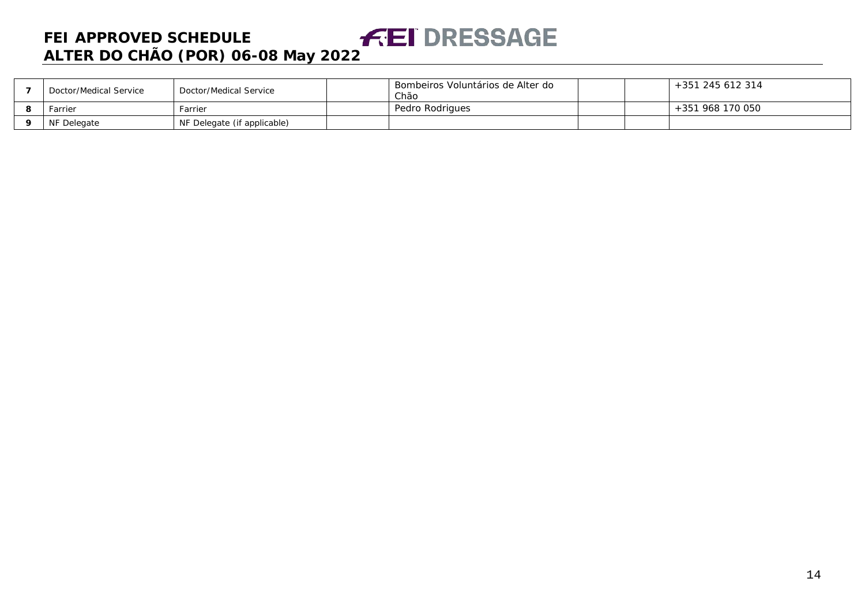| Doctor/Medical Service | Doctor/Medical Service      | Bombeiros Voluntários de Alter do<br>Chão |  | +351 245 612 314 |
|------------------------|-----------------------------|-------------------------------------------|--|------------------|
| Farrier                | Farrier                     | Pedro Rodrigues                           |  | +351 968 170 050 |
| NF Delegate            | NF Delegate (if applicable) |                                           |  |                  |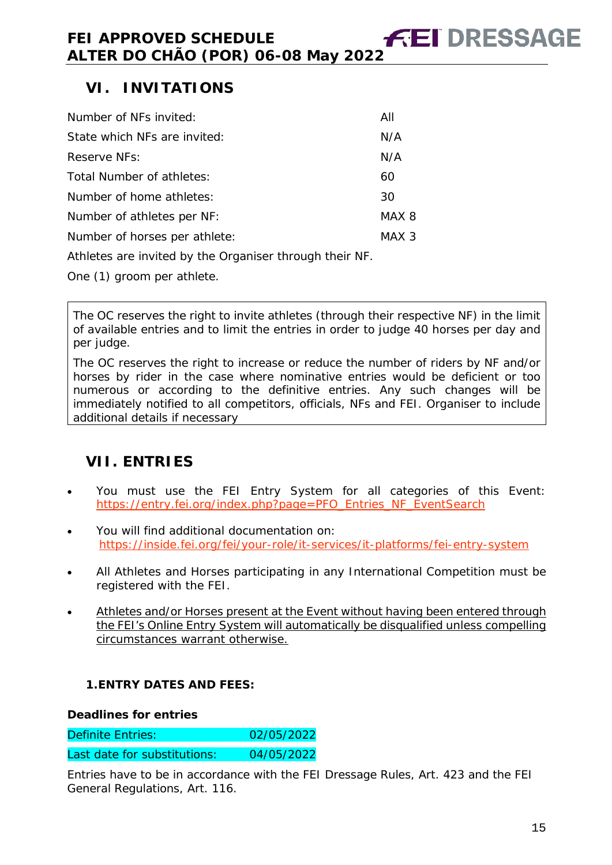# <span id="page-14-0"></span>**VI. INVITATIONS**

| Number of NFs invited:        | All   |
|-------------------------------|-------|
| State which NFs are invited:  | N/A   |
| Reserve NFs:                  | N/A   |
| Total Number of athletes:     | 60    |
| Number of home athletes:      | 30    |
| Number of athletes per NF:    | MAX 8 |
| Number of horses per athlete: | MAX 3 |
|                               |       |

Athletes are invited by the Organiser through their NF.

One (1) groom per athlete.

The OC reserves the right to invite athletes (through their respective NF) in the limit of available entries and to limit the entries in order to judge 40 horses per day and per judge.

The OC reserves the right to increase or reduce the number of riders by NF and/or horses by rider in the case where nominative entries would be deficient or too numerous or according to the definitive entries. Any such changes will be immediately notified to all competitors, officials, NFs and FEI. Organiser to include additional details if necessary

# <span id="page-14-1"></span>**VII. ENTRIES**

- You must use the FEI Entry System for all categories of this Event: [https://entry.fei.org/index.php?page=PFO\\_Entries\\_NF\\_EventSearch](https://entry.fei.org/index.php?page=PFO_Entries_NF_EventSearch)
- You will find additional documentation on: <https://inside.fei.org/fei/your-role/it-services/it-platforms/fei-entry-system>
- All Athletes and Horses participating in any International Competition must be registered with the FEI.
- Athletes and/or Horses present at the Event without having been entered through the FEI's Online Entry System will automatically be disqualified unless compelling circumstances warrant otherwise.

#### <span id="page-14-2"></span>**1.ENTRY DATES AND FEES:**

#### **Deadlines for entries**

Definite Entries: 02/05/2022

|  | Last date for substitutions: | 04/05/2022 |
|--|------------------------------|------------|
|--|------------------------------|------------|

Entries have to be in accordance with the FEI Dressage Rules, Art. 423 and the FEI General Regulations, Art. 116.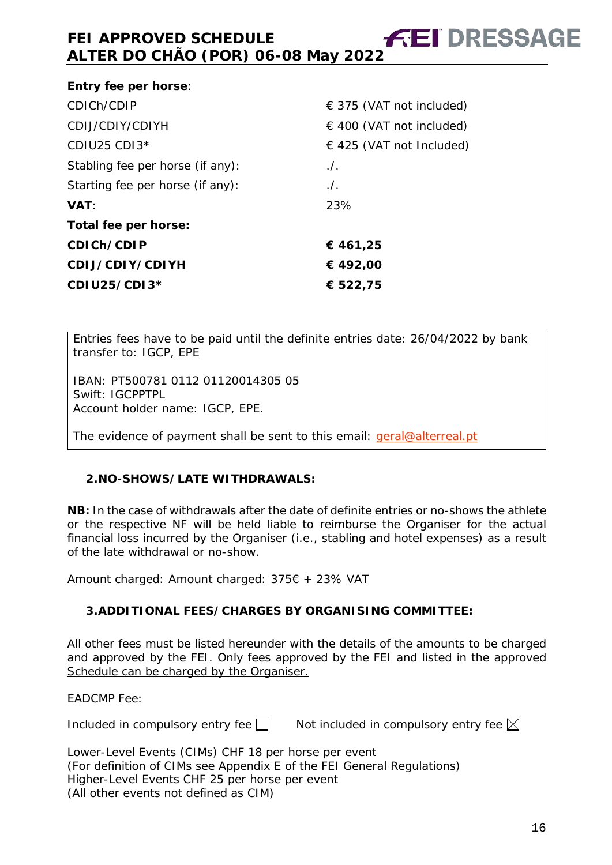| Entry fee per horse:             |                              |
|----------------------------------|------------------------------|
| CDICh/CDIP                       | $\in$ 375 (VAT not included) |
| CDIJ/CDIY/CDIYH                  | $\in$ 400 (VAT not included) |
| CDIU25 CDI $3*$                  | $\in$ 425 (VAT not Included) |
| Stabling fee per horse (if any): | $.$ /.                       |
| Starting fee per horse (if any): | $\Lambda$ .                  |
| <b>VAT:</b>                      | 23%                          |
| Total fee per horse:             |                              |
| CDICh/CDIP                       | € 461,25                     |
| CDIJ/CDIY/CDIYH                  | € 492,00                     |
| CDIU25/CDI3*                     | € 522,75                     |

Entries fees have to be paid until the definite entries date: 26/04/2022 by bank transfer to: IGCP, EPE

IBAN: PT500781 0112 01120014305 05 Swift: IGCPPTPL Account holder name: IGCP, EPE.

The evidence of payment shall be sent to this email: [geral@alterreal.pt](mailto:geral@alterreal.pt)

#### <span id="page-15-0"></span>**2.NO-SHOWS/LATE WITHDRAWALS:**

**NB:** In the case of withdrawals after the date of definite entries or no-shows the athlete or the respective NF will be held liable to reimburse the Organiser for the actual financial loss incurred by the Organiser (i.e., stabling and hotel expenses) as a result of the late withdrawal or no-show.

Amount charged: Amount charged: 375€ + 23% VAT

#### <span id="page-15-1"></span>**3.ADDITIONAL FEES/CHARGES BY ORGANISING COMMITTEE:**

All other fees must be listed hereunder with the details of the amounts to be charged and approved by the FEI. Only fees approved by the FEI and listed in the approved Schedule can be charged by the Organiser.

EADCMP Fee:

Included in compulsory entry fee  $\Box$  Not included in compulsory entry fee  $\boxtimes$ 

Lower-Level Events (CIMs) CHF 18 per horse per event (For definition of CIMs see Appendix E of the FEI General Regulations) Higher-Level Events CHF 25 per horse per event (All other events not defined as CIM)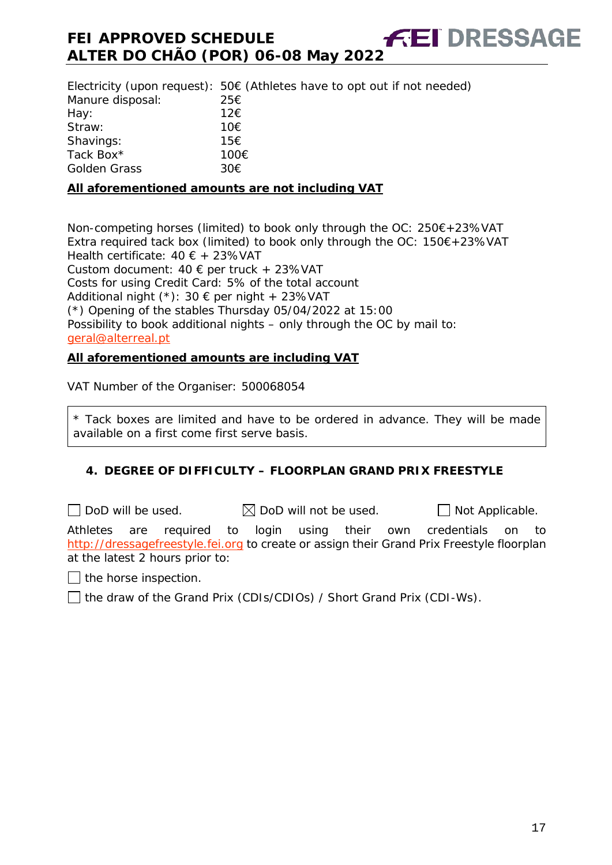Electricity (upon request):  $50 \in (A$ thletes have to opt out if not needed) Manure disposal: 25€ Hay:  $12€$ Straw: 10€ Shavings: 15€ Tack Box\* 100€<br>Golden Grass 30€ Golden Grass

#### **All aforementioned amounts are not including VAT**

Non-competing horses (limited) to book only through the OC: 250€+23%VAT Extra required tack box (limited) to book only through the OC: 150€+23%VAT Health certificate: 40 € + 23%VAT Custom document:  $40 \text{ } \in$  per truck + 23%VAT Costs for using Credit Card: 5% of the total account Additional night (\*): 30 € per night + 23%VAT (\*) Opening of the stables Thursday 05/04/2022 at 15:00 Possibility to book additional nights – only through the OC by mail to: [geral@alterreal.pt](mailto:geral@alterreal.pt)

#### **All aforementioned amounts are including VAT**

VAT Number of the Organiser: 500068054

\* Tack boxes are limited and have to be ordered in advance. They will be made available on a first come first serve basis.

#### <span id="page-16-0"></span>**4. DEGREE OF DIFFICULTY – FLOORPLAN GRAND PRIX FREESTYLE**

 $\Box$  DoD will be used.  $\boxtimes$  DoD will not be used.  $\Box$  Not Applicable.

Athletes are required to login using their own credentials on to [http://dressagefreestyle.fei.org](http://dressagefreestyle.fei.org/) to create or assign their Grand Prix Freestyle floorplan at the latest 2 hours prior to:

 $\Box$  the horse inspection.

□ the draw of the Grand Prix (CDIs/CDIOs) / Short Grand Prix (CDI-Ws).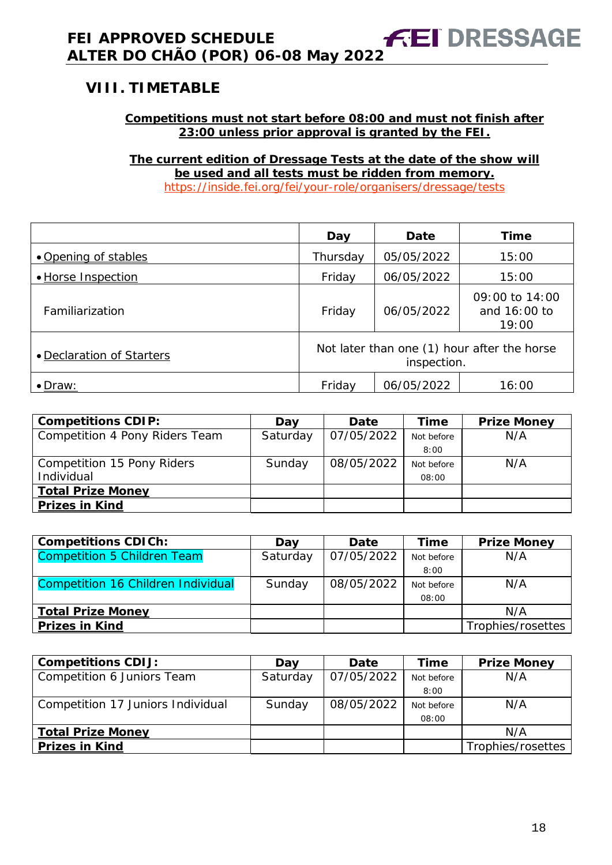# <span id="page-17-0"></span>**VIII. TIMETABLE**

#### **Competitions must not start before 08:00 and must not finish after 23:00 unless prior approval is granted by the FEI.**

**The current edition of Dressage Tests at the date of the show will be used and all tests must be ridden from memory.** <https://inside.fei.org/fei/your-role/organisers/dressage/tests>

|                           | Day                                                        | Date       | <b>Time</b>                             |
|---------------------------|------------------------------------------------------------|------------|-----------------------------------------|
| • Opening of stables      | Thursday                                                   | 05/05/2022 | 15:00                                   |
| • Horse Inspection        | Friday                                                     | 06/05/2022 | 15:00                                   |
| Familiarization           | Friday                                                     | 06/05/2022 | 09:00 to 14:00<br>and 16:00 to<br>19:00 |
| • Declaration of Starters | Not later than one (1) hour after the horse<br>inspection. |            |                                         |
| $\bullet$ Draw:           | Friday                                                     | 06/05/2022 | 16:00                                   |

| <b>Competitions CDIP:</b>      | Day      | <b>Date</b> | Time       | <b>Prize Money</b> |
|--------------------------------|----------|-------------|------------|--------------------|
| Competition 4 Pony Riders Team | Saturday | 07/05/2022  | Not before | N/A                |
|                                |          |             | 8:00       |                    |
| Competition 15 Pony Riders     | Sunday   | 08/05/2022  | Not before | N/A                |
| Individual                     |          |             | 08:00      |                    |
| <b>Total Prize Money</b>       |          |             |            |                    |
| <b>Prizes in Kind</b>          |          |             |            |                    |

| <b>Competitions CDICh:</b>         | Dav      | Date       | Time       | <b>Prize Money</b> |
|------------------------------------|----------|------------|------------|--------------------|
| <b>Competition 5 Children Team</b> | Saturday | 07/05/2022 | Not before | N/A                |
|                                    |          |            | 8:00       |                    |
| Competition 16 Children Individual | Sunday   | 08/05/2022 | Not before | N/A                |
|                                    |          |            | 08:00      |                    |
| <b>Total Prize Money</b>           |          |            |            | N/A                |
| <b>Prizes in Kind</b>              |          |            |            | Trophies/rosettes  |

| <b>Competitions CDIJ:</b>         | Dav      | Date       | Time       | <b>Prize Money</b> |
|-----------------------------------|----------|------------|------------|--------------------|
| Competition 6 Juniors Team        | Saturday | 07/05/2022 | Not before | N/A                |
|                                   |          |            | 8:00       |                    |
| Competition 17 Juniors Individual | Sunday   | 08/05/2022 | Not before | N/A                |
|                                   |          |            | 08:00      |                    |
| <b>Total Prize Money</b>          |          |            |            | N/A                |
| <b>Prizes in Kind</b>             |          |            |            | Trophies/rosettes  |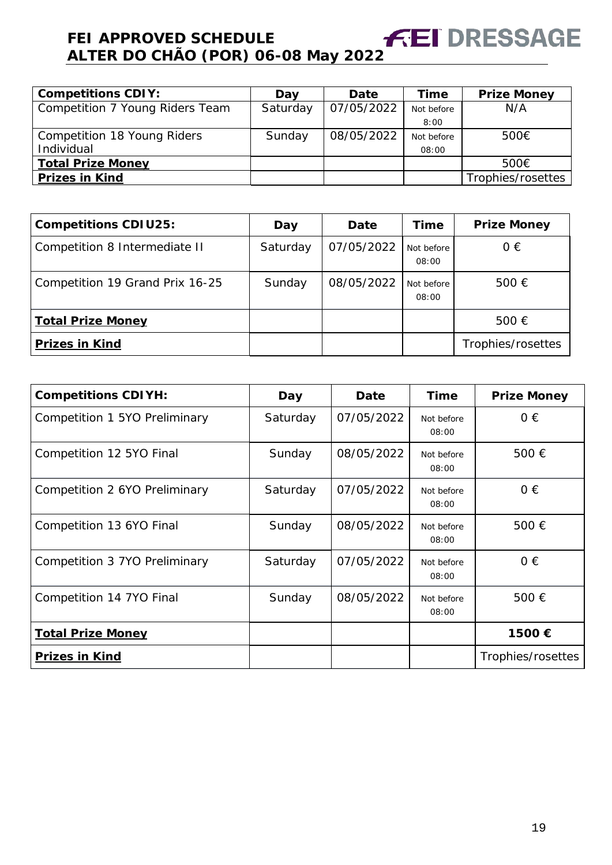| <b>Competitions CDIY:</b>       | Dav      | Date       | Time       | <b>Prize Money</b> |
|---------------------------------|----------|------------|------------|--------------------|
| Competition 7 Young Riders Team | Saturday | 07/05/2022 | Not before | N/A                |
|                                 |          |            | 8:00       |                    |
| Competition 18 Young Riders     | Sunday   | 08/05/2022 | Not before | 500€               |
| Individual                      |          |            | 08:00      |                    |
| <b>Total Prize Money</b>        |          |            |            | 500€               |
| <b>Prizes in Kind</b>           |          |            |            | Trophies/rosettes  |

| <b>Competitions CDIU25:</b>     | Day      | <b>Date</b> | Time                | <b>Prize Money</b> |
|---------------------------------|----------|-------------|---------------------|--------------------|
| Competition 8 Intermediate II   | Saturday | 07/05/2022  | Not before<br>08:00 | $0 \in$            |
| Competition 19 Grand Prix 16-25 | Sunday   | 08/05/2022  | Not before<br>08:00 | 500 €              |
| <b>Total Prize Money</b>        |          |             |                     | 500€               |
| <b>Prizes in Kind</b>           |          |             |                     | Trophies/rosettes  |

| <b>Competitions CDIYH:</b>    | Day      | Date       | Time                | <b>Prize Money</b> |
|-------------------------------|----------|------------|---------------------|--------------------|
| Competition 1 5YO Preliminary | Saturday | 07/05/2022 | Not before<br>08:00 | $0 \in$            |
| Competition 12 5YO Final      | Sunday   | 08/05/2022 | Not before<br>08:00 | 500€               |
| Competition 2 6YO Preliminary | Saturday | 07/05/2022 | Not before<br>08:00 | $0 \in$            |
| Competition 13 6YO Final      | Sunday   | 08/05/2022 | Not before<br>08:00 | 500 $\epsilon$     |
| Competition 3 7YO Preliminary | Saturday | 07/05/2022 | Not before<br>08:00 | $0 \in$            |
| Competition 14 7YO Final      | Sunday   | 08/05/2022 | Not before<br>08:00 | 500€               |
| <b>Total Prize Money</b>      |          |            |                     | 1500€              |
| <b>Prizes in Kind</b>         |          |            |                     | Trophies/rosettes  |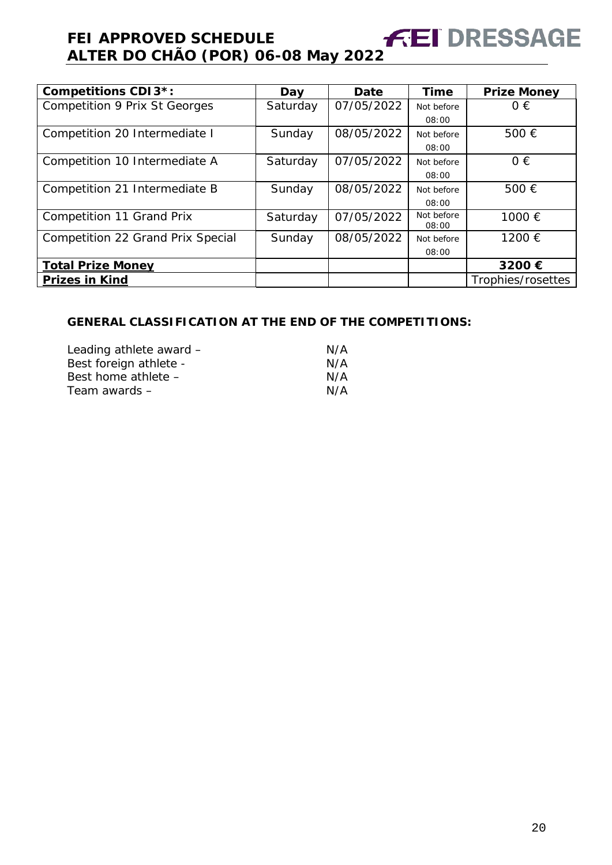| <b>Competitions CDI3*:</b>           | Day      | Date       | <b>Time</b>         | <b>Prize Money</b> |
|--------------------------------------|----------|------------|---------------------|--------------------|
| <b>Competition 9 Prix St Georges</b> | Saturday | 07/05/2022 | Not before          | $0 \in$            |
|                                      |          |            | 08:00               |                    |
| Competition 20 Intermediate I        | Sunday   | 08/05/2022 | Not before          | 500€               |
|                                      |          |            | 08:00               |                    |
| Competition 10 Intermediate A        | Saturday | 07/05/2022 | Not before          | $0 \in$            |
|                                      |          |            | 08:00               |                    |
| Competition 21 Intermediate B        | Sunday   | 08/05/2022 | Not before          | 500€               |
|                                      |          |            | 08:00               |                    |
| Competition 11 Grand Prix            | Saturday | 07/05/2022 | Not before<br>08:00 | 1000 €             |
| Competition 22 Grand Prix Special    | Sunday   | 08/05/2022 | Not before          | 1200 €             |
|                                      |          |            | 08:00               |                    |
| <b>Total Prize Money</b>             |          |            |                     | 3200€              |
| <b>Prizes in Kind</b>                |          |            |                     | Trophies/rosettes  |

#### **GENERAL CLASSIFICATION AT THE END OF THE COMPETITIONS:**

| N/A |
|-----|
| N/A |
| N/A |
| N/A |
|     |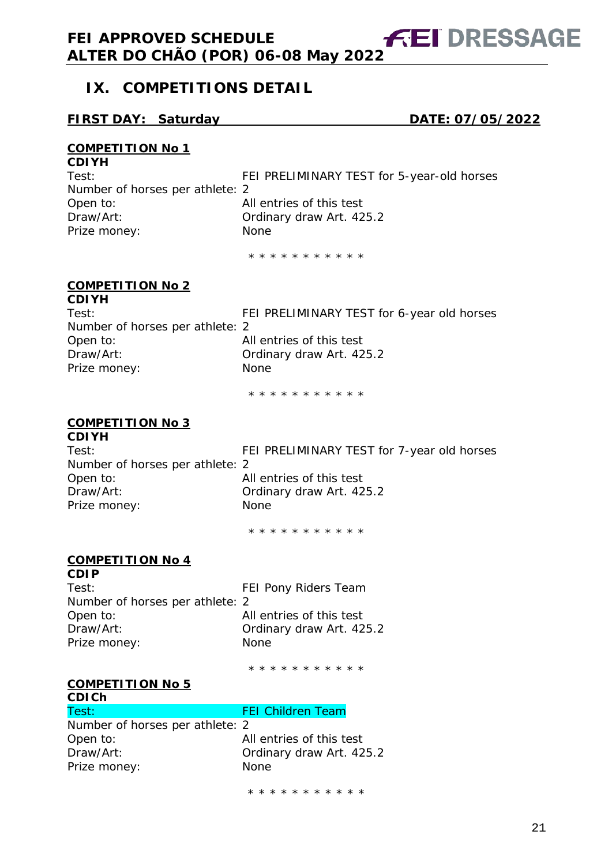# <span id="page-20-0"></span>**IX. COMPETITIONS DETAIL**

#### **FIRST DAY: Saturday DATE: 07/05/2022**

#### **COMPETITION No 1 CDIYH**

| <b>VDIII</b>                    |                                            |
|---------------------------------|--------------------------------------------|
| Test:                           | FEI PRELIMINARY TEST for 5-year-old horses |
| Number of horses per athlete: 2 |                                            |
| Open to:                        | All entries of this test                   |
| Draw/Art:                       | Ordinary draw Art. 425.2                   |
| Prize money:                    | None                                       |
|                                 |                                            |

\* \* \* \* \* \* \* \* \* \* \*

#### **COMPETITION No 2 CDIYH**

| <b>VDIII</b>                    |                                            |
|---------------------------------|--------------------------------------------|
| Test:                           | FEI PRELIMINARY TEST for 6-year old horses |
| Number of horses per athlete: 2 |                                            |
| Open to:                        | All entries of this test                   |
| Draw/Art:                       | Ordinary draw Art. 425.2                   |
| Prize money:                    | None                                       |
|                                 |                                            |

\* \* \* \* \* \* \* \* \* \* \*

#### **COMPETITION No 3**

**CDIYH** Number of horses per athlete: 2 Open to: All entries of this test Draw/Art: **Draw/Art: Ordinary draw Art. 425.2** Prize money: None

Test: FEI PRELIMINARY TEST for 7-year old horses

\* \* \* \* \* \* \* \* \* \* \*

#### **COMPETITION No 4 CDIP**

| Test:                           | FEI Pony Riders Team     |
|---------------------------------|--------------------------|
| Number of horses per athlete: 2 |                          |
| Open to:                        | All entries of this test |
| Draw/Art:                       | Ordinary draw Art. 425.2 |
| Prize money:                    | <b>None</b>              |
|                                 |                          |

\* \* \* \* \* \* \* \* \* \* \*

# **COMPETITION No 5**

| <b>CDICH</b>                    |                          |
|---------------------------------|--------------------------|
| Test:                           | <b>FEI Children Team</b> |
| Number of horses per athlete: 2 |                          |
| Open to:                        | All entries of this test |
| Draw/Art:                       | Ordinary draw Art. 425.2 |
| Prize money:                    | <b>None</b>              |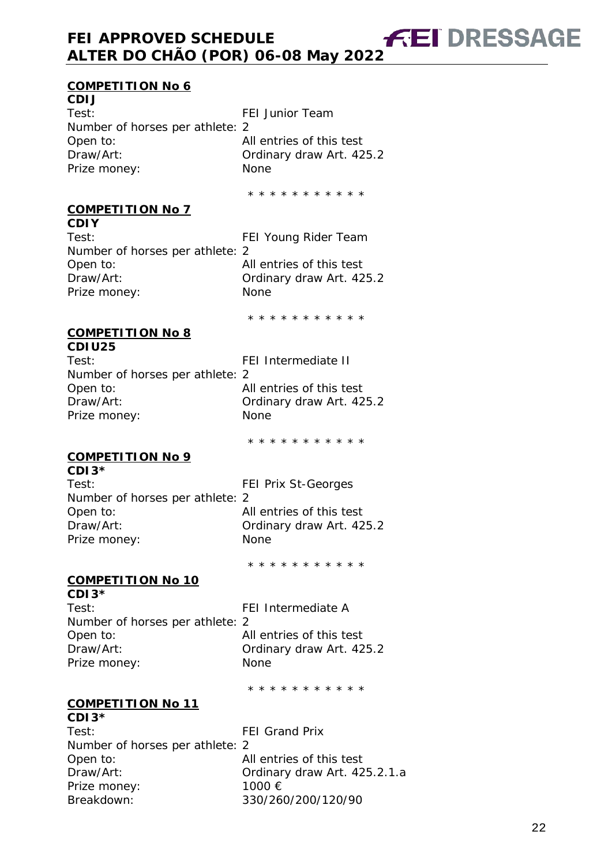#### **COMPETITION No 6**

**CDIJ** Test: FEI Junior Team Number of horses per athlete: 2 Open to: All entries of this test<br>Draw/Art: Cordinary draw Art. 42 Ordinary draw Art. 425.2 Prize money: None

\* \* \* \* \* \* \* \* \* \* \*

**FEI DRESSAGE** 

#### **COMPETITION No 7**

**CDIY** Test: FEI Young Rider Team Number of horses per athlete: 2 Open to: All entries of this test Draw/Art: **Draw/Art: Ordinary draw Art. 425.2** Prize money: None

\* \* \* \* \* \* \* \* \* \* \*

#### **COMPETITION No 8 CDIU25**

| Test:                           | FEI Intermediate II    |
|---------------------------------|------------------------|
| Number of horses per athlete: 2 |                        |
| Open to:                        | All entries of this te |
| Draw/Art:                       | Ordinary draw Art.     |
| Prize money:                    | <b>None</b>            |
|                                 |                        |

tries of this test ary draw Art. 425.2

\* \* \* \* \* \* \* \* \* \* \*

# **COMPETITION No 9**

**CDI3\*** Test: FEI Prix St-Georges Number of horses per athlete: 2 Open to: All entries of this test Draw/Art: **Draw/Art: Ordinary draw Art. 425.2** Prize money: None

\* \* \* \* \* \* \* \* \* \* \*

#### **COMPETITION No 10**

**CDI3\*** Number of horses per athlete: 2 Open to: All entries of this test Draw/Art: **Draw/Art: Ordinary draw Art. 425.2** Prize money: None

FEI Intermediate A

\* \* \* \* \* \* \* \* \* \* \*

#### **COMPETITION No 11 CDI3\***

Test: FEI Grand Prix Number of horses per athlete: 2 All entries of this test Draw/Art: Ordinary draw Art. 425.2.1.a Prize money: 1000 € Breakdown: 330/260/200/120/90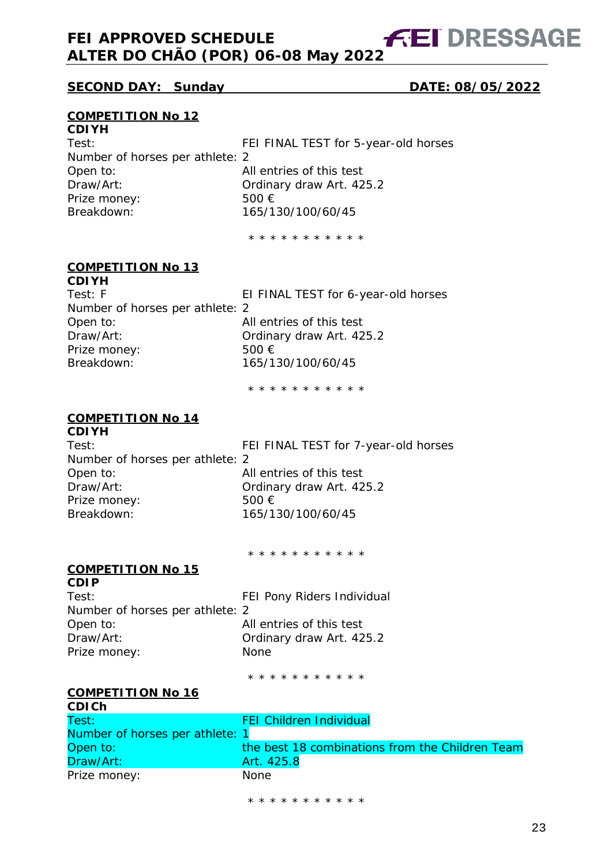# **FEI DRESSAGE**

#### **SECOND DAY: Sunday DATE: 08/05/2022**

#### **COMPETITION No 12**

## **CDIYH**

Number of horses per athlete: 2 Open to: and All entries of this test Draw/Art: Chromew: Cordinary draw Art. 425.2<br>Prize money: 500 € Prize money:<br>Breakdown:

Test: FEI FINAL TEST for 5-year-old horses Breakdown: 165/130/100/60/45

\* \* \* \* \* \* \* \* \* \* \*

#### **COMPETITION No 13 CDIYH**

| Test: F                         | EI FINAL TEST for 6-year-old horses |
|---------------------------------|-------------------------------------|
| Number of horses per athlete: 2 |                                     |
| Open to:                        | All entries of this test            |
| Draw/Art:                       | Ordinary draw Art. 425.2            |
| Prize money:                    | 500 $\epsilon$                      |
| Breakdown:                      | 165/130/100/60/45                   |
|                                 |                                     |

\* \* \* \* \* \* \* \* \* \* \*

#### **COMPETITION No 14 CDIYH**

| <b>UDIYA</b>                    |                                      |
|---------------------------------|--------------------------------------|
| Test:                           | FEI FINAL TEST for 7-year-old horses |
| Number of horses per athlete: 2 |                                      |
| Open to:                        | All entries of this test             |
| Draw/Art:                       | Ordinary draw Art. 425.2             |
| Prize money:                    | 500 $\epsilon$                       |
| Breakdown:                      | 165/130/100/60/45                    |
|                                 |                                      |

\* \* \* \* \* \* \* \* \* \* \*

## **COMPETITION No 15**

**CDIP** Test: Test: FEI Pony Riders Individual Number of horses per athlete: 2 Open to: All entries of this test Draw/Art: Ordinary draw Art. 425.2 Prize money: None

\* \* \* \* \* \* \* \* \* \* \*

#### **COMPETITION No 16 CDICh**

| Test:                           | <b>FEI Children Individual</b>                  |
|---------------------------------|-------------------------------------------------|
| Number of horses per athlete: 1 |                                                 |
| Open to:                        | the best 18 combinations from the Children Team |
| Draw/Art:                       | Art. 425.8                                      |
| Prize money:                    | None.                                           |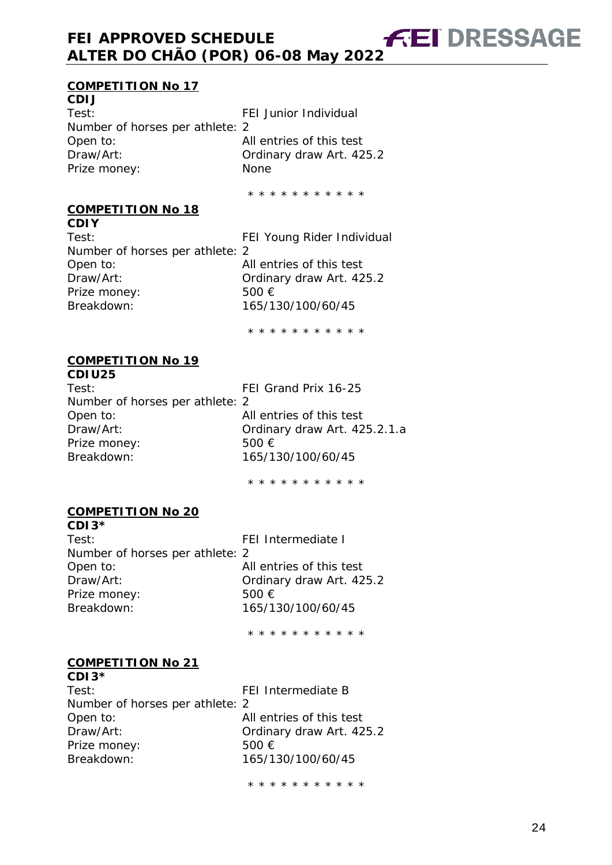#### **COMPETITION No 17**

**CDIJ** Test: Test: FEI Junior Individual Number of horses per athlete: 2 Open to: All entries of this test<br>Draw/Art: Cordinary draw Art. 42 Prize money: None

Ordinary draw Art. 425.2

**FEI DRESSAGE** 

\* \* \* \* \* \* \* \* \* \* \*

**COMPETITION No 18**

**CDIY** Test: Test: FEI Young Rider Individual Number of horses per athlete: 2 Open to: All entries of this test Draw/Art: Ordinary draw Art. 425.2 Prize money: 500 € Breakdown: 165/130/100/60/45

\* \* \* \* \* \* \* \* \* \* \*

#### **COMPETITION No 19 CDIU25**

Test: FEI Grand Prix 16-25 Number of horses per athlete: 2 Open to: All entries of this test Draw/Art: Ordinary draw Art. 425.2.1.a Prize money: 500 €<br>Breakdown: 500 165/1 Breakdown: 165/130/100/60/45

\* \* \* \* \* \* \* \* \* \* \*

#### **COMPETITION No 20**

**CDI3\*** Test: FEI Intermediate I Number of horses per athlete: 2 Open to: All entries of this test Draw/Art: Ordinary draw Art. 425.2 Prize money: 500 € Breakdown: 165/130/100/60/45

\* \* \* \* \* \* \* \* \* \* \*

#### **COMPETITION No 21 CDI3\***

| UDI 3 T                         |                          |
|---------------------------------|--------------------------|
| Test:                           | FEI Intermediate B       |
| Number of horses per athlete: 2 |                          |
| Open to:                        | All entries of this test |
| Draw/Art:                       | Ordinary draw Art. 425.2 |
| Prize money:                    | 500 $\epsilon$           |
| Breakdown:                      | 165/130/100/60/45        |
|                                 |                          |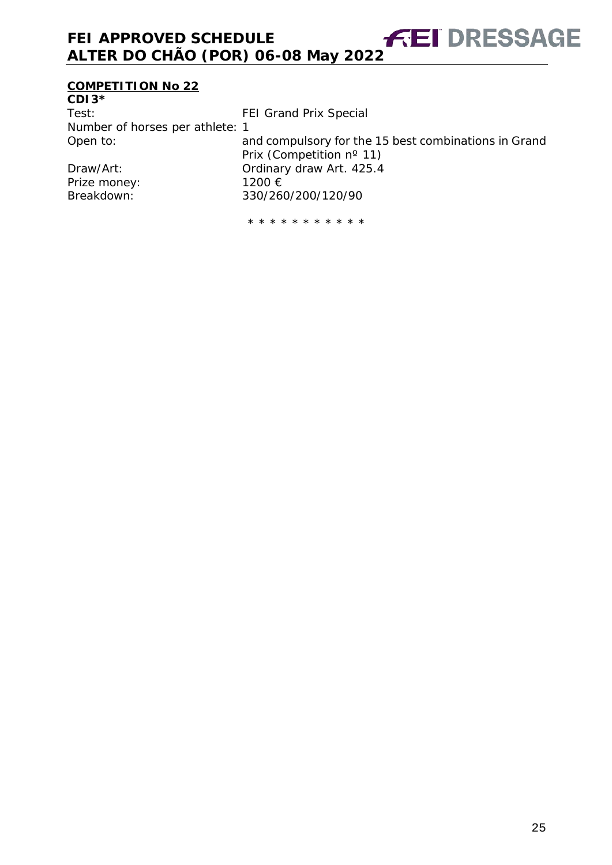# **COMPETITION No 22**

| FEI Grand Prix Special                               |
|------------------------------------------------------|
| Number of horses per athlete: 1                      |
| and compulsory for the 15 best combinations in Grand |
| Prix (Competition nº 11)                             |
| Ordinary draw Art. 425.4                             |
| 1200 €                                               |
| 330/260/200/120/90                                   |
|                                                      |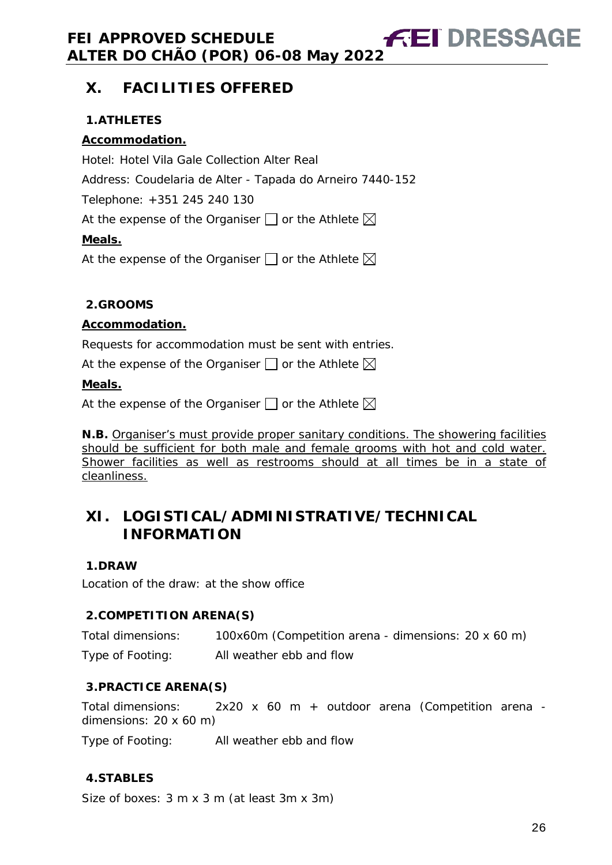# <span id="page-25-0"></span>**X. FACILITIES OFFERED**

#### <span id="page-25-1"></span>**1.ATHLETES**

#### **Accommodation.**

Hotel: Hotel Vila Gale Collection Alter Real Address: Coudelaria de Alter - Tapada do Arneiro 7440-152 Telephone: +351 245 240 130 At the expense of the Organiser  $\Box$  or the Athlete  $\boxtimes$ **Meals.** At the expense of the Organiser  $\Box$  or the Athlete  $\boxtimes$ 

#### <span id="page-25-2"></span>**2.GROOMS**

#### **Accommodation.**

Requests for accommodation must be sent with entries.

At the expense of the Organiser  $\Box$  or the Athlete  $\boxtimes$ 

#### **Meals.**

At the expense of the Organiser  $\square$  or the Athlete  $\boxtimes$ 

**N.B.** Organiser's must provide proper sanitary conditions. The showering facilities should be sufficient for both male and female grooms with hot and cold water. Shower facilities as well as restrooms should at all times be in a state of cleanliness.

# <span id="page-25-3"></span>**XI. LOGISTICAL/ADMINISTRATIVE/TECHNICAL INFORMATION**

#### <span id="page-25-4"></span>**1.DRAW**

Location of the draw: at the show office

#### <span id="page-25-5"></span>**2.COMPETITION ARENA(S)**

Total dimensions: 100x60m (Competition arena - dimensions: 20 x 60 m) Type of Footing: All weather ebb and flow

#### <span id="page-25-6"></span>**3.PRACTICE ARENA(S)**

Total dimensions: 2x20 x 60 m + outdoor arena (Competition arena dimensions: 20 x 60 m)

Type of Footing: All weather ebb and flow

#### <span id="page-25-7"></span>**4.STABLES**

Size of boxes: 3 m x 3 m (at least 3m x 3m)

**FEI DRESSAGE**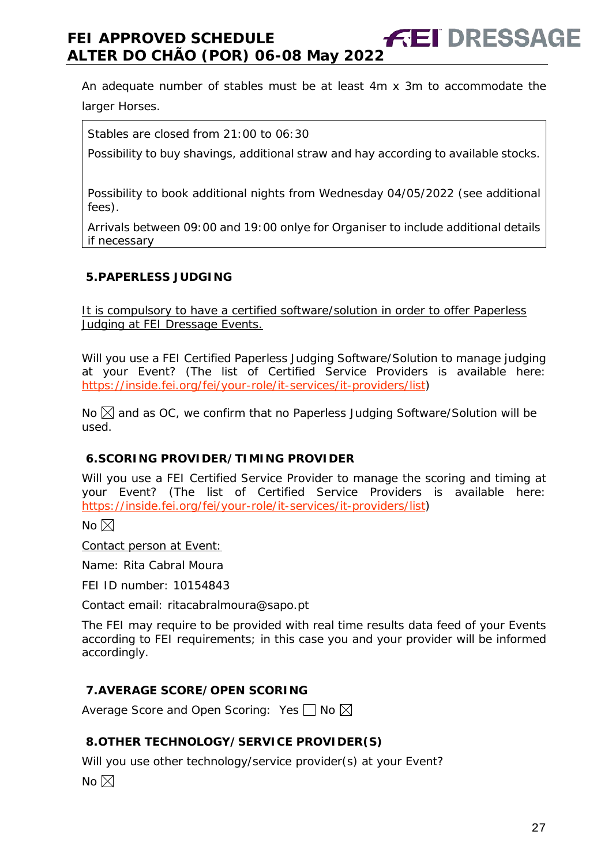An adequate number of stables must be at least 4m x 3m to accommodate the larger Horses.

Stables are closed from 21:00 to 06:30

Possibility to buy shavings, additional straw and hay according to available stocks.

Possibility to book additional nights from Wednesday 04/05/2022 (see additional fees).

Arrivals between 09:00 and 19:00 onlye for Organiser to include additional details if necessary

#### <span id="page-26-0"></span>**5.PAPERLESS JUDGING**

It is compulsory to have a certified software/solution in order to offer Paperless Judging at FEI Dressage Events.

Will you use a FEI Certified Paperless Judging Software/Solution to manage judging at your Event? (The list of Certified Service Providers is available here: [https://inside.fei.org/fei/your-role/it-services/it-providers/list\)](https://inside.fei.org/fei/your-role/it-services/it-providers/list)

No  $\boxtimes$  and as OC, we confirm that no Paperless Judging Software/Solution will be used.

#### <span id="page-26-1"></span>**6.SCORING PROVIDER/TIMING PROVIDER**

Will you use a FEI Certified Service Provider to manage the scoring and timing at your Event? (The list of Certified Service Providers is available here: [https://inside.fei.org/fei/your-role/it-services/it-providers/list\)](https://inside.fei.org/fei/your-role/it-services/it-providers/list)

No  $\boxtimes$ 

Contact person at Event:

Name: Rita Cabral Moura

FEI ID number: 10154843

Contact email: ritacabralmoura@sapo.pt

The FEI may require to be provided with real time results data feed of your Events according to FEI requirements; in this case you and your provider will be informed accordingly.

#### <span id="page-26-2"></span>**7.AVERAGE SCORE/OPEN SCORING**

Average Score and Open Scoring: Yes  $\Box$  No  $\boxtimes$ 

#### <span id="page-26-3"></span>**8.OTHER TECHNOLOGY/SERVICE PROVIDER(S)**

Will you use other technology/service provider(s) at your Event?

No  $\boxtimes$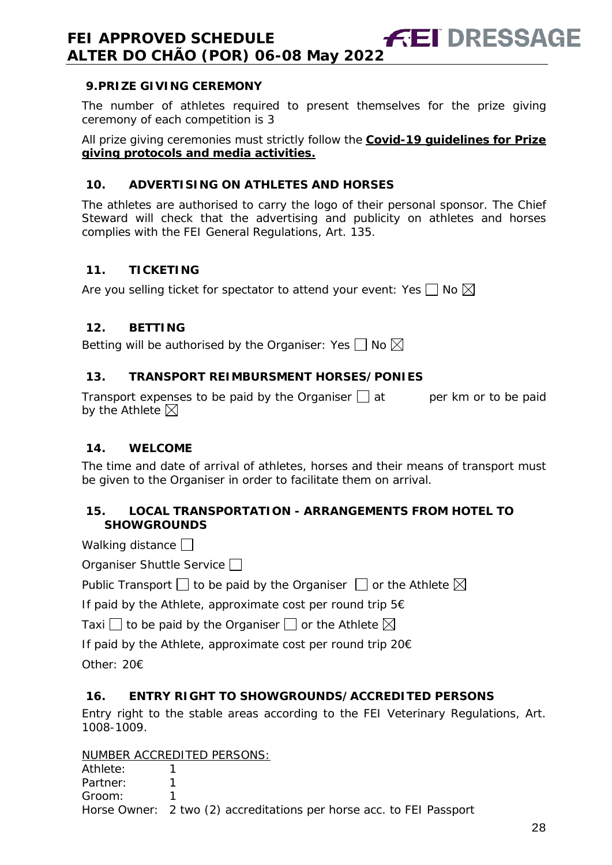#### <span id="page-27-0"></span>**9.PRIZE GIVING CEREMONY**

The number of athletes required to present themselves for the prize giving ceremony of each competition is 3

All prize giving ceremonies must strictly follow the **Covid-19 guidelines for Prize giving protocols and media activities.**

#### <span id="page-27-1"></span>**10. ADVERTISING ON ATHLETES AND HORSES**

The athletes are authorised to carry the logo of their personal sponsor. The Chief Steward will check that the advertising and publicity on athletes and horses complies with the FEI General Regulations, Art. 135.

#### <span id="page-27-2"></span>**11. TICKETING**

Are you selling ticket for spectator to attend your event: Yes  $\Box$  No  $\boxtimes$ 

#### <span id="page-27-3"></span>**12. BETTING**

Betting will be authorised by the Organiser: Yes  $\Box$  No  $\boxtimes$ 

#### <span id="page-27-4"></span>**13. TRANSPORT REIMBURSMENT HORSES/PONIES**

Transport expenses to be paid by the Organiser  $\Box$  at early per km or to be paid by the Athlete  $\boxtimes$ 

#### <span id="page-27-5"></span>**14. WELCOME**

The time and date of arrival of athletes, horses and their means of transport must be given to the Organiser in order to facilitate them on arrival.

#### <span id="page-27-6"></span>**15. LOCAL TRANSPORTATION - ARRANGEMENTS FROM HOTEL TO SHOWGROUNDS**

Walking distance

| Organiser Shuttle Service $\square$ |  |
|-------------------------------------|--|
|-------------------------------------|--|

Public Transport  $\Box$  to be paid by the Organiser  $\Box$  or the Athlete  $\boxtimes$ 

If paid by the Athlete, approximate cost per round trip 5€

Taxi  $\Box$  to be paid by the Organiser  $\Box$  or the Athlete  $\boxtimes$ 

If paid by the Athlete, approximate cost per round trip 20€

Other: 20€

#### <span id="page-27-7"></span>**16. ENTRY RIGHT TO SHOWGROUNDS/ACCREDITED PERSONS**

Entry right to the stable areas according to the FEI Veterinary Regulations, Art. 1008-1009.

NUMBER ACCREDITED PERSONS:

| Athlete: |                                                                      |
|----------|----------------------------------------------------------------------|
| Partner: |                                                                      |
| Groom:   |                                                                      |
|          | Horse Owner: 2 two (2) accreditations per horse acc. to FEI Passport |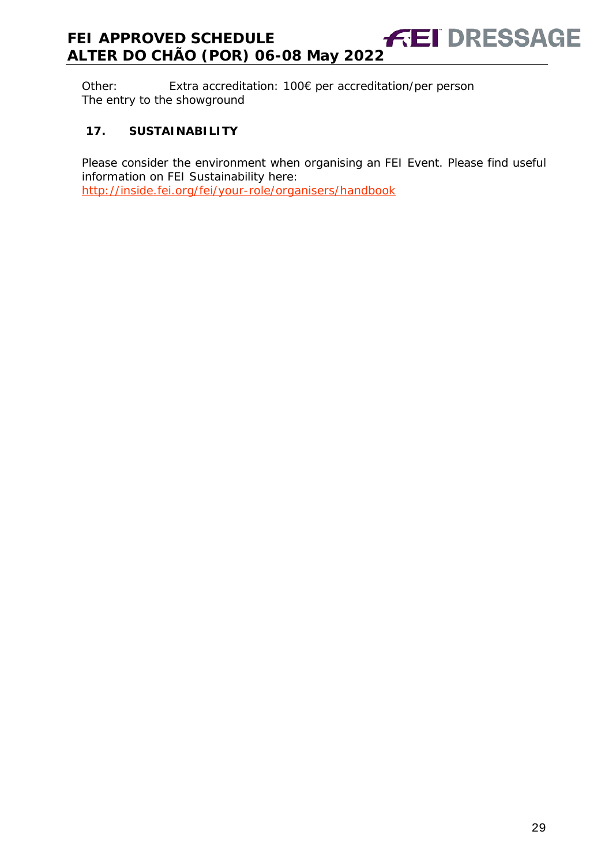Other: Extra accreditation: 100€ per accreditation/per person The entry to the showground

#### <span id="page-28-0"></span>**17. SUSTAINABILITY**

Please consider the environment when organising an FEI Event. Please find useful information on FEI Sustainability here: <http://inside.fei.org/fei/your-role/organisers/handbook>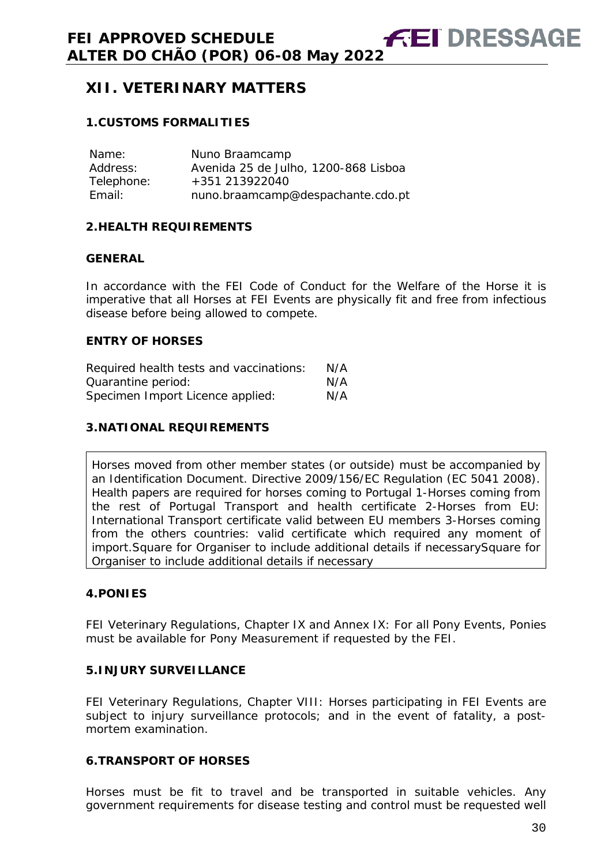# <span id="page-29-0"></span>**XII. VETERINARY MATTERS**

#### <span id="page-29-1"></span>**1.CUSTOMS FORMALITIES**

| Name:      | Nuno Braamcamp                       |
|------------|--------------------------------------|
| Address:   | Avenida 25 de Julho, 1200-868 Lisboa |
| Telephone: | +351 213922040                       |
| Email:     | nuno.braamcamp@despachante.cdo.pt    |

#### <span id="page-29-2"></span>**2.HEALTH REQUIREMENTS**

#### **GENERAL**

In accordance with the FEI Code of Conduct for the Welfare of the Horse it is imperative that all Horses at FEI Events are physically fit and free from infectious disease before being allowed to compete.

#### **ENTRY OF HORSES**

| Required health tests and vaccinations: | N/A |
|-----------------------------------------|-----|
| Quarantine period:                      | N/A |
| Specimen Import Licence applied:        | N/A |

#### <span id="page-29-3"></span>**3.NATIONAL REQUIREMENTS**

Horses moved from other member states (or outside) must be accompanied by an Identification Document. Directive 2009/156/EC Regulation (EC 5041 2008). Health papers are required for horses coming to Portugal 1-Horses coming from the rest of Portugal Transport and health certificate 2-Horses from EU: International Transport certificate valid between EU members 3-Horses coming from the others countries: valid certificate which required any moment of import.Square for Organiser to include additional details if necessarySquare for Organiser to include additional details if necessary

#### <span id="page-29-4"></span>**4.PONIES**

FEI Veterinary Regulations, Chapter IX and Annex IX: For all Pony Events, Ponies must be available for Pony Measurement if requested by the FEI.

#### <span id="page-29-5"></span>**5.INJURY SURVEILLANCE**

FEI Veterinary Regulations, Chapter VIII: Horses participating in FEI Events are subject to injury surveillance protocols; and in the event of fatality, a postmortem examination.

#### <span id="page-29-6"></span>**6.TRANSPORT OF HORSES**

Horses must be fit to travel and be transported in suitable vehicles. Any government requirements for disease testing and control must be requested well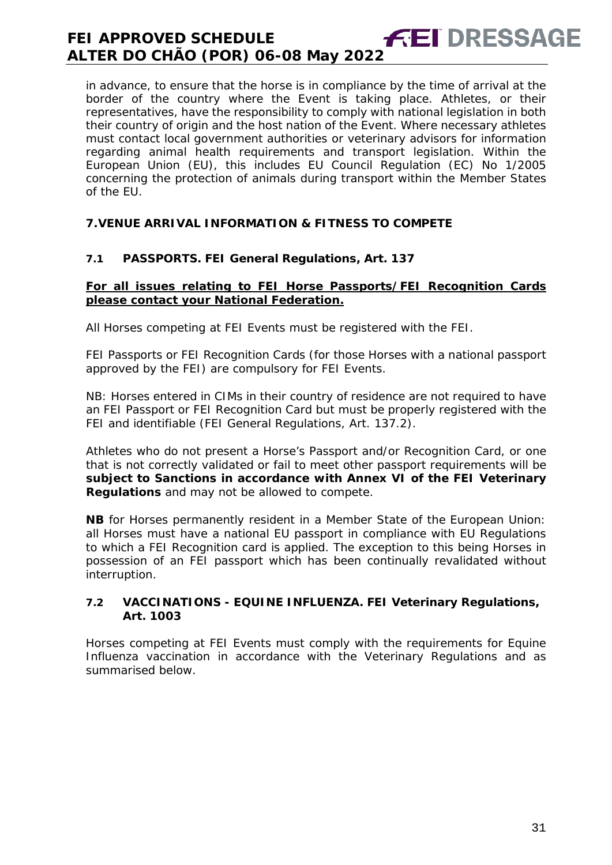in advance, to ensure that the horse is in compliance by the time of arrival at the border of the country where the Event is taking place. Athletes, or their representatives, have the responsibility to comply with national legislation in both their country of origin and the host nation of the Event. Where necessary athletes must contact local government authorities or veterinary advisors for information regarding animal health requirements and transport legislation. Within the European Union (EU), this includes EU Council Regulation (EC) No 1/2005 concerning the protection of animals during transport within the Member States of the EU.

#### <span id="page-30-0"></span>**7.VENUE ARRIVAL INFORMATION & FITNESS TO COMPETE**

#### **7.1 PASSPORTS. FEI General Regulations, Art. 137**

#### **For all issues relating to FEI Horse Passports/FEI Recognition Cards please contact your National Federation.**

All Horses competing at FEI Events must be registered with the FEI.

FEI Passports or FEI Recognition Cards (for those Horses with a national passport approved by the FEI) are compulsory for FEI Events.

NB: Horses entered in CIMs in their country of residence are not required to have an FEI Passport or FEI Recognition Card but must be properly registered with the FEI and identifiable (FEI General Regulations, Art. 137.2).

Athletes who do not present a Horse's Passport and/or Recognition Card, or one that is not correctly validated or fail to meet other passport requirements will be **subject to Sanctions in accordance with Annex VI of the FEI Veterinary Regulations** and may not be allowed to compete.

**NB** for Horses permanently resident in a Member State of the European Union: all Horses must have a national EU passport in compliance with EU Regulations to which a FEI Recognition card is applied. The exception to this being Horses in possession of an FEI passport which has been continually revalidated without interruption.

#### **7.2 VACCINATIONS - EQUINE INFLUENZA. FEI Veterinary Regulations, Art. 1003**

Horses competing at FEI Events must comply with the requirements for Equine Influenza vaccination in accordance with the Veterinary Regulations and as summarised below.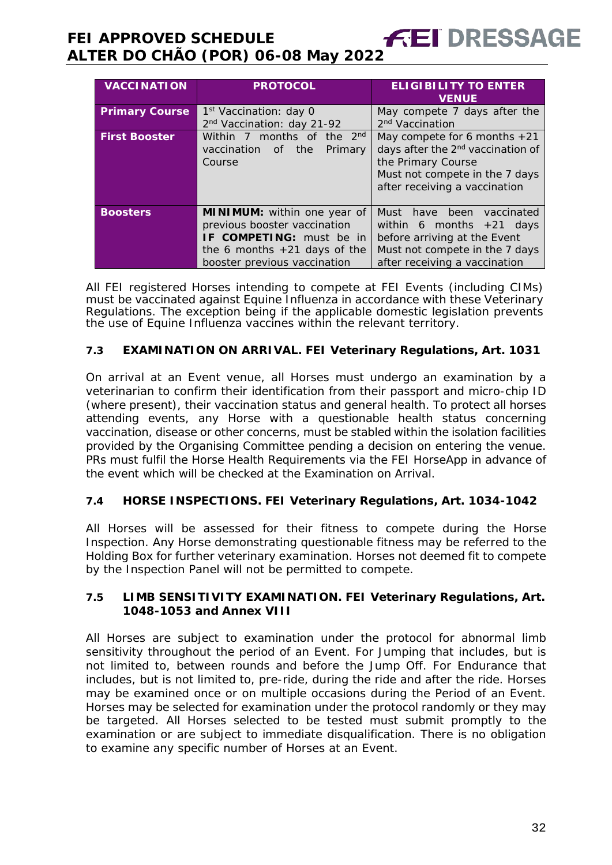| <b>VACCINATION</b>    | <b>PROTOCOL</b>                                                          | <b>ELIGIBILITY TO ENTER</b><br><b>VENUE</b>   |  |
|-----------------------|--------------------------------------------------------------------------|-----------------------------------------------|--|
| <b>Primary Course</b> | 1 <sup>st</sup> Vaccination: day 0                                       | May compete 7 days after the                  |  |
|                       | 2 <sup>nd</sup> Vaccination: day 21-92                                   | 2 <sup>nd</sup> Vaccination                   |  |
| <b>First Booster</b>  | Within 7 months of the 2 <sup>nd</sup><br>May compete for 6 months $+21$ |                                               |  |
|                       | vaccination of the<br>Primary                                            | days after the 2 <sup>nd</sup> vaccination of |  |
|                       | Course                                                                   | the Primary Course                            |  |
|                       |                                                                          | Must not compete in the 7 days                |  |
|                       |                                                                          | after receiving a vaccination                 |  |
|                       |                                                                          |                                               |  |
| <b>Boosters</b>       | MINIMUM: within one year of                                              | Must have been<br>vaccinated                  |  |
|                       | previous booster vaccination                                             | within 6 months $+21$ days                    |  |
|                       | <b>IF COMPETING:</b> must be in                                          | before arriving at the Event                  |  |
|                       | the 6 months $+21$ days of the                                           | Must not compete in the 7 days                |  |
|                       | booster previous vaccination                                             | after receiving a vaccination                 |  |

All FEI registered Horses intending to compete at FEI Events (including CIMs) must be vaccinated against Equine Influenza in accordance with these Veterinary Regulations. The exception being if the applicable domestic legislation prevents the use of Equine Influenza vaccines within the relevant territory.

#### **7.3 EXAMINATION ON ARRIVAL. FEI Veterinary Regulations, Art. 1031**

On arrival at an Event venue, all Horses must undergo an examination by a veterinarian to confirm their identification from their passport and micro-chip ID (where present), their vaccination status and general health. To protect all horses attending events, any Horse with a questionable health status concerning vaccination, disease or other concerns, must be stabled within the isolation facilities provided by the Organising Committee pending a decision on entering the venue. PRs must fulfil the Horse Health Requirements via the FEI HorseApp in advance of the event which will be checked at the Examination on Arrival.

#### **7.4 HORSE INSPECTIONS. FEI Veterinary Regulations, Art. 1034-1042**

All Horses will be assessed for their fitness to compete during the Horse Inspection. Any Horse demonstrating questionable fitness may be referred to the Holding Box for further veterinary examination. Horses not deemed fit to compete by the Inspection Panel will not be permitted to compete.

#### **7.5 LIMB SENSITIVITY EXAMINATION. FEI Veterinary Regulations, Art. 1048-1053 and Annex VIII**

All Horses are subject to examination under the protocol for abnormal limb sensitivity throughout the period of an Event. For Jumping that includes, but is not limited to, between rounds and before the Jump Off. For Endurance that includes, but is not limited to, pre-ride, during the ride and after the ride. Horses may be examined once or on multiple occasions during the Period of an Event. Horses may be selected for examination under the protocol randomly or they may be targeted. All Horses selected to be tested must submit promptly to the examination or are subject to immediate disqualification. There is no obligation to examine any specific number of Horses at an Event.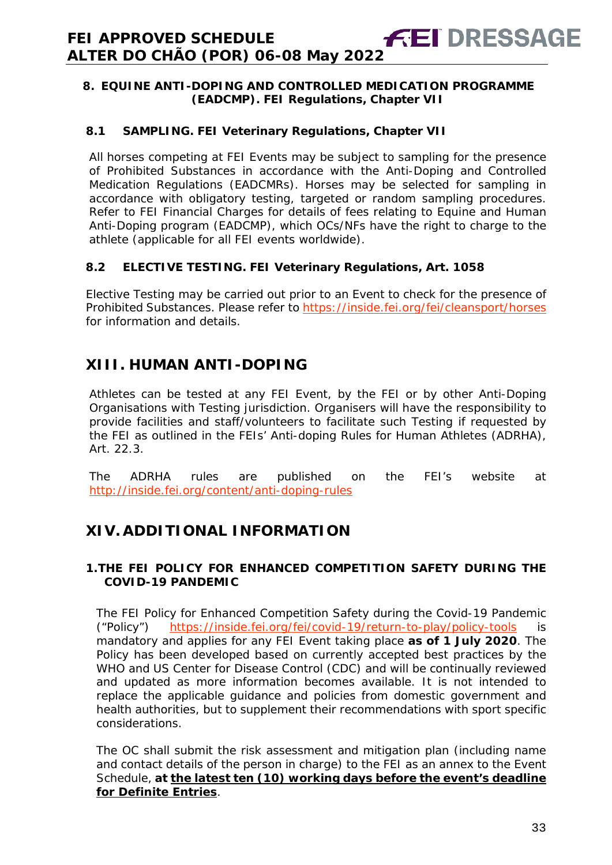#### <span id="page-32-0"></span>**8. EQUINE ANTI-DOPING AND CONTROLLED MEDICATION PROGRAMME (EADCMP). FEI Regulations, Chapter VII**

#### **8.1 SAMPLING. FEI Veterinary Regulations, Chapter VII**

All horses competing at FEI Events may be subject to sampling for the presence of Prohibited Substances in accordance with the Anti-Doping and Controlled Medication Regulations (EADCMRs). Horses may be selected for sampling in accordance with obligatory testing, targeted or random sampling procedures. Refer to FEI Financial Charges for details of fees relating to Equine and Human Anti-Doping program (EADCMP), which OCs/NFs have the right to charge to the athlete (applicable for all FEI events worldwide).

#### **8.2 ELECTIVE TESTING. FEI Veterinary Regulations, Art. 1058**

Elective Testing may be carried out prior to an Event to check for the presence of Prohibited Substances. Please refer to https://inside.fei.org/fei/cleansport/horses for information and details.

# <span id="page-32-1"></span>**XIII. HUMAN ANTI-DOPING**

Athletes can be tested at any FEI Event, by the FEI or by other Anti-Doping Organisations with Testing jurisdiction. Organisers will have the responsibility to provide facilities and staff/volunteers to facilitate such Testing if requested by the FEI as outlined in the FEIs' Anti-doping Rules for Human Athletes (ADRHA), Art. 22.3.

The ADRHA rules are published on the FEI's website at <http://inside.fei.org/content/anti-doping-rules>

# <span id="page-32-2"></span>**XIV. ADDITIONAL INFORMATION**

#### <span id="page-32-3"></span>**1.THE FEI POLICY FOR ENHANCED COMPETITION SAFETY DURING THE COVID-19 PANDEMIC**

The FEI Policy for Enhanced Competition Safety during the Covid-19 Pandemic ("Policy") <https://inside.fei.org/fei/covid-19/return-to-play/policy-tools> is mandatory and applies for any FEI Event taking place **as of 1 July 2020**. The Policy has been developed based on currently accepted best practices by the WHO and US Center for Disease Control (CDC) and will be continually reviewed and updated as more information becomes available. It is not intended to replace the applicable guidance and policies from domestic government and health authorities, but to supplement their recommendations with sport specific considerations.

The OC shall submit the risk assessment and mitigation plan (including name and contact details of the person in charge) to the FEI as an annex to the Event Schedule, **at the latest ten (10) working days before the event's deadline for Definite Entries**.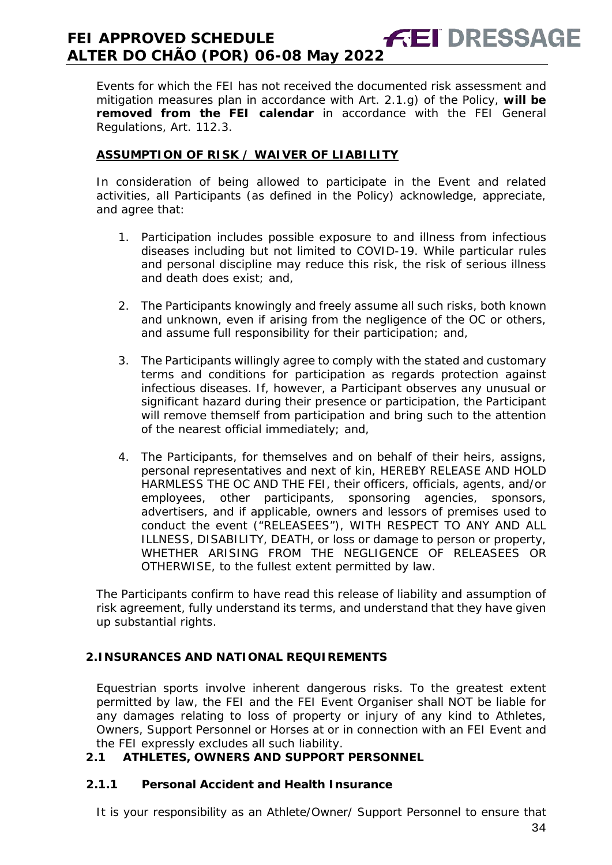Events for which the FEI has not received the documented risk assessment and mitigation measures plan in accordance with Art. 2.1.g) of the Policy, **will be removed from the FEI calendar** in accordance with the FEI General Regulations, Art. 112.3.

#### **ASSUMPTION OF RISK / WAIVER OF LIABILITY**

In consideration of being allowed to participate in the Event and related activities, all Participants (as defined in the Policy) acknowledge, appreciate, and agree that:

- 1. Participation includes possible exposure to and illness from infectious diseases including but not limited to COVID-19. While particular rules and personal discipline may reduce this risk, the risk of serious illness and death does exist; and,
- 2. The Participants knowingly and freely assume all such risks, both known and unknown, even if arising from the negligence of the OC or others, and assume full responsibility for their participation; and,
- 3. The Participants willingly agree to comply with the stated and customary terms and conditions for participation as regards protection against infectious diseases. If, however, a Participant observes any unusual or significant hazard during their presence or participation, the Participant will remove themself from participation and bring such to the attention of the nearest official immediately; and,
- 4. The Participants, for themselves and on behalf of their heirs, assigns, personal representatives and next of kin, HEREBY RELEASE AND HOLD HARMLESS THE OC AND THE FEI, their officers, officials, agents, and/or employees, other participants, sponsoring agencies, sponsors, advertisers, and if applicable, owners and lessors of premises used to conduct the event ("RELEASEES"), WITH RESPECT TO ANY AND ALL ILLNESS, DISABILITY, DEATH, or loss or damage to person or property, WHETHER ARISING FROM THE NEGLIGENCE OF RELEASEES OR OTHERWISE, to the fullest extent permitted by law.

The Participants confirm to have read this release of liability and assumption of risk agreement, fully understand its terms, and understand that they have given up substantial rights.

#### <span id="page-33-0"></span>**2.INSURANCES AND NATIONAL REQUIREMENTS**

Equestrian sports involve inherent dangerous risks. To the greatest extent permitted by law, the FEI and the FEI Event Organiser shall NOT be liable for any damages relating to loss of property or injury of any kind to Athletes, Owners, Support Personnel or Horses at or in connection with an FEI Event and the FEI expressly excludes all such liability.

#### **2.1 ATHLETES, OWNERS AND SUPPORT PERSONNEL**

#### **2.1.1 Personal Accident and Health Insurance**

It is your responsibility as an Athlete/Owner/ Support Personnel to ensure that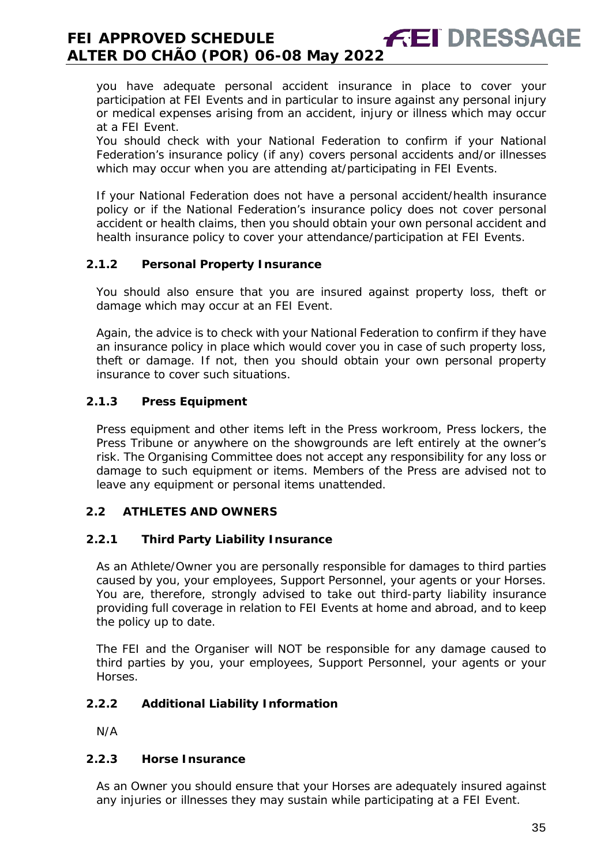you have adequate personal accident insurance in place to cover your participation at FEI Events and in particular to insure against any personal injury or medical expenses arising from an accident, injury or illness which may occur at a FEI Event.

You should check with your National Federation to confirm if your National Federation's insurance policy (if any) covers personal accidents and/or illnesses which may occur when you are attending at/participating in FEI Events.

If your National Federation does not have a personal accident/health insurance policy or if the National Federation's insurance policy does not cover personal accident or health claims, then you should obtain your own personal accident and health insurance policy to cover your attendance/participation at FEI Events.

#### **2.1.2 Personal Property Insurance**

You should also ensure that you are insured against property loss, theft or damage which may occur at an FEI Event.

Again, the advice is to check with your National Federation to confirm if they have an insurance policy in place which would cover you in case of such property loss, theft or damage. If not, then you should obtain your own personal property insurance to cover such situations.

#### **2.1.3 Press Equipment**

Press equipment and other items left in the Press workroom, Press lockers, the Press Tribune or anywhere on the showgrounds are left entirely at the owner's risk. The Organising Committee does not accept any responsibility for any loss or damage to such equipment or items. Members of the Press are advised not to leave any equipment or personal items unattended.

#### **2.2 ATHLETES AND OWNERS**

#### **2.2.1 Third Party Liability Insurance**

As an Athlete/Owner you are personally responsible for damages to third parties caused by you, your employees, Support Personnel, your agents or your Horses. You are, therefore, strongly advised to take out third-party liability insurance providing full coverage in relation to FEI Events at home and abroad, and to keep the policy up to date.

The FEI and the Organiser will NOT be responsible for any damage caused to third parties by you, your employees, Support Personnel, your agents or your Horses.

#### **2.2.2 Additional Liability Information**

N/A

#### **2.2.3 Horse Insurance**

As an Owner you should ensure that your Horses are adequately insured against any injuries or illnesses they may sustain while participating at a FEI Event.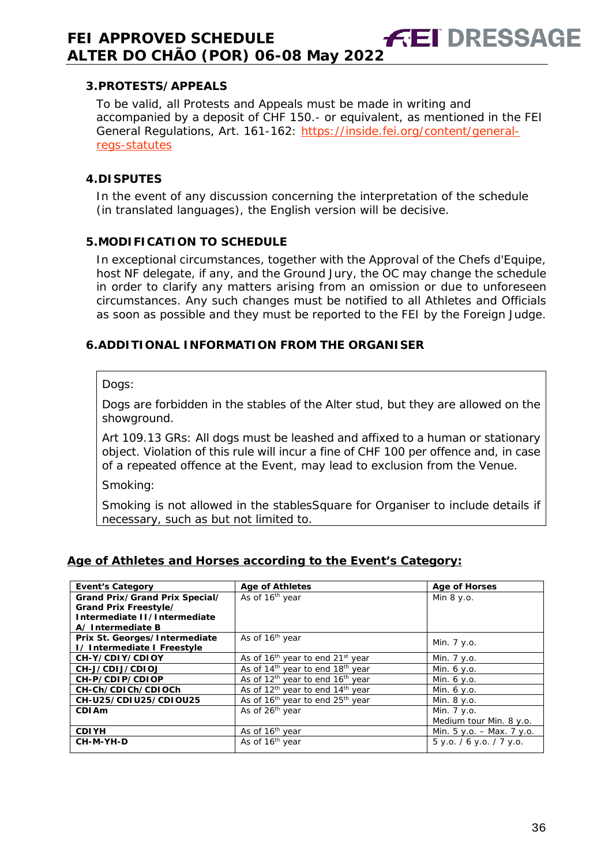#### <span id="page-35-0"></span>**3.PROTESTS/APPEALS**

To be valid, all Protests and Appeals must be made in writing and accompanied by a deposit of CHF 150.- or equivalent, as mentioned in the FEI General Regulations, Art. 161-162: [https://inside.fei.org/content/general](https://inside.fei.org/content/general-regs-statutes)[regs-statutes](https://inside.fei.org/content/general-regs-statutes)

#### <span id="page-35-1"></span>**4.DISPUTES**

In the event of any discussion concerning the interpretation of the schedule (in translated languages), the English version will be decisive.

#### <span id="page-35-2"></span>**5.MODIFICATION TO SCHEDULE**

In exceptional circumstances, together with the Approval of the Chefs d'Equipe, host NF delegate, if any, and the Ground Jury, the OC may change the schedule in order to clarify any matters arising from an omission or due to unforeseen circumstances. Any such changes must be notified to all Athletes and Officials as soon as possible and they must be reported to the FEI by the Foreign Judge.

#### <span id="page-35-3"></span>**6.ADDITIONAL INFORMATION FROM THE ORGANISER**

#### Dogs:

Dogs are forbidden in the stables of the Alter stud, but they are allowed on the showground.

Art 109.13 GRs: All dogs must be leashed and affixed to a human or stationary object. Violation of this rule will incur a fine of CHF 100 per offence and, in case of a repeated offence at the Event, may lead to exclusion from the Venue.

Smoking:

Smoking is not allowed in the stablesSquare for Organiser to include details if necessary, such as but not limited to.

#### **Age of Athletes and Horses according to the Event's Category:**

| <b>Event's Category</b>        | <b>Age of Athletes</b>                                   | <b>Age of Horses</b>        |  |
|--------------------------------|----------------------------------------------------------|-----------------------------|--|
| Grand Prix/Grand Prix Special/ | As of 16 <sup>th</sup> year                              | Min $8 y.o.$                |  |
| Grand Prix Freestyle/          |                                                          |                             |  |
| Intermediate II/Intermediate   |                                                          |                             |  |
| A/Intermediate B               |                                                          |                             |  |
| Prix St. Georges/Intermediate  | As of 16 <sup>th</sup> year                              | Min. 7 y.o.                 |  |
| I/Intermediate I Freestyle     |                                                          |                             |  |
| CH-Y/CDIY/CDIOY                | As of 16 <sup>th</sup> year to end 21 <sup>st</sup> year | Min. 7 y.o.                 |  |
| CH-J/CDIJ/CDIOJ                | As of 14 <sup>th</sup> year to end 18 <sup>th</sup> year | Min. $6 y.o.$               |  |
| CH-P/CDIP/CDIOP                | As of $12th$ year to end $16th$ year                     | Min. 6 y.o.                 |  |
| CH-Ch/CDICh/CDIOCh             | As of $12th$ year to end $14th$ year                     | Min. 6 y.o.                 |  |
| CH-U25/CDIU25/CDIOU25          | As of 16 <sup>th</sup> year to end 25 <sup>th</sup> year | Min. 8 y.o.                 |  |
| CDI Am                         | As of 26 <sup>th</sup> year                              | Min. 7 y.o.                 |  |
|                                |                                                          | Medium tour Min. 8 y.o.     |  |
| <b>CDIYH</b>                   | As of 16 <sup>th</sup> year                              | Min. $5 y.o. - Max. 7 y.o.$ |  |
| CH-M-YH-D                      | As of 16 <sup>th</sup> year                              | 5 y.o. / 6 y.o. / 7 y.o.    |  |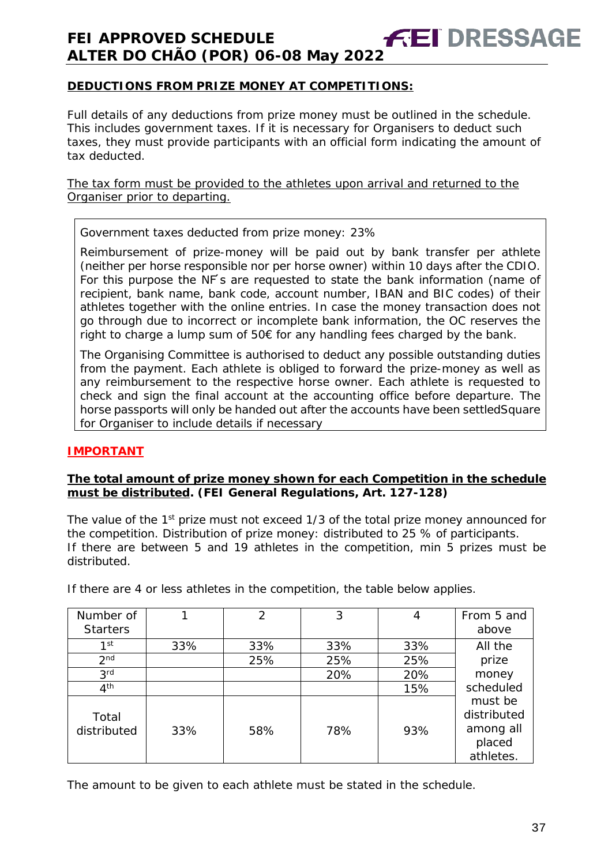#### **DEDUCTIONS FROM PRIZE MONEY AT COMPETITIONS:**

Full details of any deductions from prize money must be outlined in the schedule. This includes government taxes. If it is necessary for Organisers to deduct such taxes, they must provide participants with an official form indicating the amount of tax deducted.

The tax form must be provided to the athletes upon arrival and returned to the Organiser prior to departing.

Government taxes deducted from prize money: 23%

Reimbursement of prize-money will be paid out by bank transfer per athlete (neither per horse responsible nor per horse owner) within 10 days after the CDIO. For this purpose the NF's are requested to state the bank information (name of recipient, bank name, bank code, account number, IBAN and BIC codes) of their athletes together with the online entries. In case the money transaction does not go through due to incorrect or incomplete bank information, the OC reserves the right to charge a lump sum of 50€ for any handling fees charged by the bank.

The Organising Committee is authorised to deduct any possible outstanding duties from the payment. Each athlete is obliged to forward the prize-money as well as any reimbursement to the respective horse owner. Each athlete is requested to check and sign the final account at the accounting office before departure. The horse passports will only be handed out after the accounts have been settledSquare for Organiser to include details if necessary

#### **IMPORTANT**

#### **The total amount of prize money shown for each Competition in the schedule must be distributed. (FEI General Regulations, Art. 127-128)**

The value of the 1<sup>st</sup> prize must not exceed 1/3 of the total prize money announced for the competition. Distribution of prize money: distributed to 25 % of participants. If there are between 5 and 19 athletes in the competition, min 5 prizes must be distributed.

| Number of<br><b>Starters</b> |     | 2   | 3   |     | From 5 and<br>above                                        |
|------------------------------|-----|-----|-----|-----|------------------------------------------------------------|
| 1 <sup>st</sup>              | 33% | 33% | 33% | 33% | All the                                                    |
| 2 <sub>nd</sub>              |     | 25% | 25% | 25% | prize                                                      |
| 3 <sup>rd</sup>              |     |     | 20% | 20% | money                                                      |
| 4 <sup>th</sup>              |     |     |     | 15% | scheduled                                                  |
| Total<br>distributed         | 33% | 58% | 78% | 93% | must be<br>distributed<br>among all<br>placed<br>athletes. |

If there are 4 or less athletes in the competition, the table below applies.

The amount to be given to each athlete must be stated in the schedule.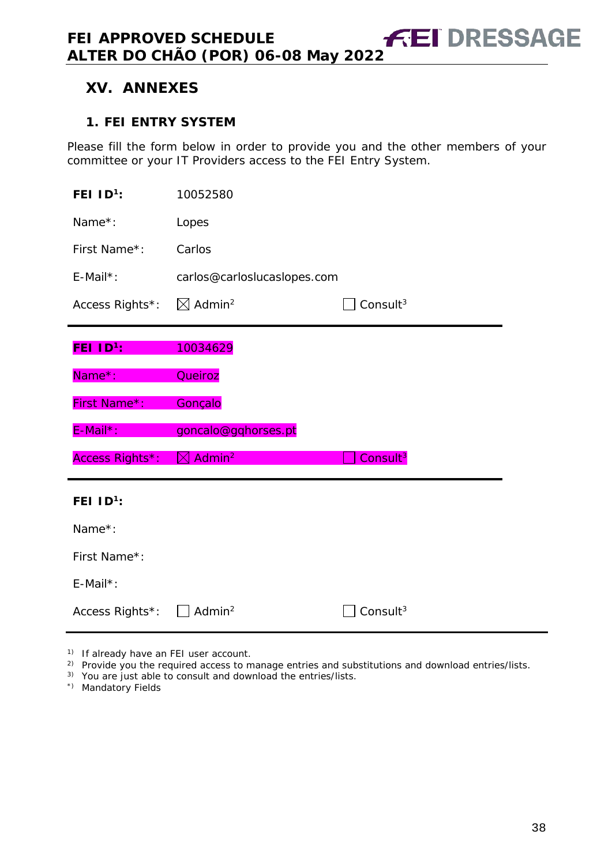# <span id="page-37-0"></span>**XV. ANNEXES**

#### <span id="page-37-1"></span>**1. FEI ENTRY SYSTEM**

Please fill the form below in order to provide you and the other members of your committee or your IT Providers access to the FEI Entry System.

| FEI $ID^1$ :               | 10052580                       |                      |  |
|----------------------------|--------------------------------|----------------------|--|
| Name*:                     | Lopes                          |                      |  |
| First Name*:               | Carlos                         |                      |  |
| E-Mail*:                   | carlos@carloslucaslopes.com    |                      |  |
| Access Rights*:            | $\boxtimes$ Admin <sup>2</sup> | Consult $3$          |  |
| <b>FEI ID<sup>1</sup>:</b> | 10034629                       |                      |  |
| Name*:                     | Queiroz                        |                      |  |
| First Name*:               | Gonçalo                        |                      |  |
| E-Mail*:                   | goncalo@gqhorses.pt            |                      |  |
| Access Rights*:            | Admin <sup>2</sup><br>IXI      | Consult <sup>3</sup> |  |
| FEI $1D^1$ :               |                                |                      |  |
| Name*:                     |                                |                      |  |
| First Name*:               |                                |                      |  |
| E-Mail*:                   |                                |                      |  |
| Access Rights*:            | Admin <sup>2</sup>             | Consult <sup>3</sup> |  |

<sup>1)</sup> If already have an FEI user account.

<sup>2)</sup> Provide you the required access to manage entries and substitutions and download entries/lists.

3) You are just able to consult and download the entries/lists.

\*) Mandatory Fields